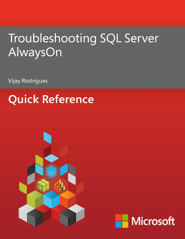# Troubleshooting SQL Server AlwaysOn

**Vijay Rodrigues** 

# **Quick Reference**



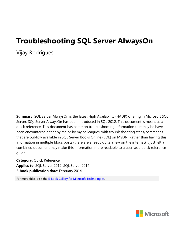## **Troubleshooting SQL Server AlwaysOn**

Vijay Rodrigues

**Summary**: SQL Server AlwaysOn is the latest High Availability (HADR) offering in Microsoft SQL Server. SQL Server AlwaysOn has been introduced in SQL 2012. This document is meant as a quick reference. This document has common troubleshooting information that may be have been encountered either by me or by my colleagues, with troubleshooting steps/commands that are publicly available in SQL Server Books Online (BOL) on MSDN. Rather than having this information in multiple blogs posts (there are already quite a few on the internet), I just felt a combined document may make this information more readable to a user, as a quick reference guide.

**Category:** Quick Reference **Applies to**: SQL Server 2012, SQL Server 2014 **E-book publication date**: February 2014

For more titles, visit the [E-Book Gallery for Microsoft Technologies.](http://social.technet.microsoft.com/wiki/contents/articles/11608.e-book-gallery-for-microsoft-technologies.aspx)

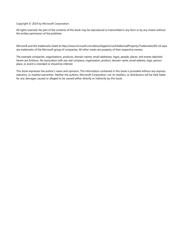Copyright © 2014 by Microsoft Corporation

All rights reserved. No part of the contents of this book may be reproduced or transmitted in any form or by any means without the written permission of the publisher.

Microsoft and the trademarks listed at http://www.microsoft.com/about/legal/en/us/IntellectualProperty/Trademarks/EN-US.aspx are trademarks of the Microsoft group of companies. All other marks are property of their respective owners.

The example companies, organizations, products, domain names, email addresses, logos, people, places, and events depicted herein are fictitious. No association with any real company, organization, product, domain name, email address, logo, person, place, or event is intended or should be inferred.

This book expresses the author's views and opinions. The information contained in this book is provided without any express, statutory, or implied warranties. Neither the authors, Microsoft Corporation, nor its resellers, or distributors will be held liable for any damages caused or alleged to be caused either directly or indirectly by this book.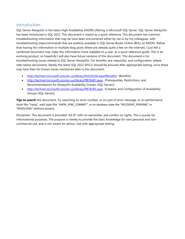## Introduction

SQL Server AlwaysOn is the latest High Availability (HADR) offering in Microsoft SQL Server. SQL Server AlwaysOn has been introduced in SQL 2012. This document is meant as a quick reference. This document has common troubleshooting information that may be have been encountered either by me or by my colleagues, with troubleshooting steps/commands that are publicly available in SQL Server Books Online (BOL) on MSDN. Rather than having this information in multiple blog posts (there are already quite a few on the internet), I just felt a combined document may make this information more readable to a user, as a quick reference guide. This is an evolving product, so hopefully I will also have future versions of this document. This document is for troubleshooting issues related to SQL Server AlwaysOn. For benefits, pre-requisites, and configuration, please refer below documents. Ideally the latest SQL 2012 SP/CU should be ensured after appropriate testing, since these may have fixes for known issues mentioned later in this document:

- <http://technet.microsoft.com/en-us/library/hh510230.aspx#Benefits> (Benefits)
- <http://technet.microsoft.com/en-us/library/ff878487.aspx> (Prerequisites, Restrictions, and Recommendations for AlwaysOn Availability Groups (SQL Server))
- <http://technet.microsoft.com/en-us/library/ff878265.aspx> (Creation and Configuration of Availability Groups (SQL Server))

**Tips to search** this document: Try searching on error number, or on part of error message, or on performance issue like "hang", wait type like "HADR\_SYNC\_COMMIT", or on database state like "RECOVERY\_PENDING" or "RESOLVING" (without quotes).

Disclaimer: This document is provided "AS IS" with no warranties, and confers no rights. This is purely for informational purposes. The purpose is merely to provide the basic knowledge for own personal and noncommercial use, and is not meant for advice. Use with appropriate testing.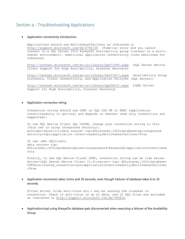## Section a - Troubleshooting Applications

#### Application connectivity introduction.

Applications should use MultiSubnetFailover as indicated in <http://support.microsoft.com/kb/2792139> (Time-out error and you cannot connect to a SQL Server 2012 AlwaysOn availability group listener in a multisubnet environment). Additional application connectivity links mentioned for reference.

<http://technet.microsoft.com/en-us/library/gg471494.aspx> (SQL Server Native Client Support for High Availability, Disaster Recovery)

<http://technet.microsoft.com/en-us/library/hh213417.aspx> (Availability Group Listeners, Client Connectivity, and Application Failover (SQL Server))

<http://technet.microsoft.com/en-us/library/gg558121.aspx> (JDBC Driver Support for High Availability, Disaster Recovery)

Application connection string.

Connection string should use ODBC or SQL OLE DB in SNAC (application intent=readonly is optional and depends on whether read only connections are supported):

To use SQL Native Client SQL OLEDB, change your connection string to this (this one is using integrated security): provider=sqlncli11;data source= tcp:AGListener,1633;database=ag;integrated security=sspi;application intent=readonly;MultiSubnetFailover=True

To use .Net SQLClient: data source= tcp: AGListener,1633;database=ag;user=sa;password=Password2;applicationintent=read only

Finally, to use SOL Native Client ODBC, connection string can be like below: driver={SQL Server Native Client 11.0};server= tcp: AGListener,1633;database= CGFData;trusted connection=yes;applicationintent=readonly;MultiSubnetFailover =True

 Application reconnects takes 1mins and 30 seconds, even though Failover of database takes 6 to 10 seconds.

Filter driver (like anti-virus etc.) may be causing the slowness in connection. Check if anti-virus is up to date, and if SQL files are excluded as indicated in [http://support.microsoft.com/kb/309422.](http://support.microsoft.com/kb/309422)

 Application/osql using AlwaysOn database gets disconnected when executing a failover of the Availability Group.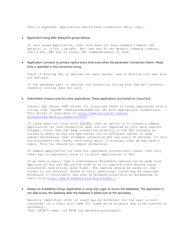This is expected. Application should have connection retry logic.

Application hang after AlwaysOn group failover.

If Java based application, then Java does not have command timeout (be default, it is not limited). But .net has 30 sec default command timeout, that's why .NET has no issue. Set commandtimeout in Java.

 Application connects to primary replica every time even when the parameter Connection Intent =Read Only is specified in the connection string.

Check if Routing URL is defined for each server, and if Routing List was also not defined.

If the database part is omitted (in connection string that has AG listener), readonly routing does not work

Intermittent timeout only for some applications. These applications are hosted on Linux/Unix.

Install SQL Server ODBC driver for Linux and check if issue reproduces with a string like "SQLCMD –SAGListenerFQDN.com –M" with appropriate credentials. This driver is available at [http://www.microsoft.com/en](http://www.microsoft.com/en-us/download/details.aspx?id=28160)[us/download/details.aspx?id=28160](http://www.microsoft.com/en-us/download/details.aspx?id=28160) .

If issue does not occur with SQLCMD, then an option is to create a sample application (so that production apps are not impacted by this data capture attempt, since they can keep connecting directly to the SQL instance as currently done) on any one app server (or in different server in same subnet/datacenter) that attempts connection AGL say every 30 seconds. If this too encounters the issue, once every about 15 minutes, then we may have a repro. This too should not impact production.

If sample application too does not reproduce intermittent issue, then only other way to reproduce issue is to point application to AGL.

If we have a repro, then a simultaneous Wireshark capture can be made from application box and SQL active node so as to capture trace during issue occurrence (and noting issue time). The capture should be saved in .cap format to aid analysis. Based on this, additional traces may be required. Wireshark is third-party and runs on Windows/Linux/Unix as documented in their site<http://www.wireshark.org/faq.html#q1.1> .

 Always on Availability Group. Application is using SQL Login to access the databases. The application is not able access the database after the database is failed over to the secondary.

Security identifier (SID) of login may be different for the user in both instances. So a login with same SID (same as on primary) has to be created on secondary. TSQL: SELECT name, sid FROM sys.database principals;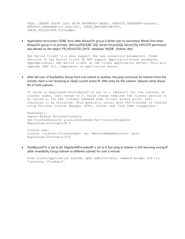TSQL: CREATE LOGIN [LLL] WITH PASSWORD='dddd', DEFAULT\_DATABASE=[master], DEFAULT\_LANGUAGE=[us\_english], CHECK\_EXPIRATION=OFF, CHECK POLICY=OFF, SID=0xABC;

 Application encounters ODBC error after AlwaysOn group is failed over to secondary. Works fine when AlwaysOn group is on primary. [Microsoft][ODBC SQL Server Driver][SQL Server]The EXECUTE permission was denied on the object 'FN\_ADJUSTED\_DATE', database 'MyDB', schema 'dbo'.

SQL Native Client 11.x does support the new connection parameters. Older versions of SQL Native Client do NOT support ApplicationIntent parameter. Upgrade/install SQL Native client on the client application server. This will upgrade ODBC etc. components on application server.

 After fail over of Availability Group from one subnet to another, the ping command (to listener) from the remote client is not resolving to newly current active IP. DNS entry for the Listener network name shows IPs of both subnets.

If value of RegisterAllProvidersIP is set to 1 (default) for the listener on cluster nodes, then change to 0. Value change requires the cluster service to be cycled or for the listener network name (client access point, CAP) resources to be restarted. This generally occurs when CAP/listener is created using Failover Cluster Manager (FCM), rather than from SSMS (suggested).

Powershell: Import-Module FailoverClusters Get-ClusterResource yourListenerName|Set-ClusterParameter RegisterAllProvidersIP 0

Cluster.exe: cluster /cluster:<ClusterName> res <NetworkNameResource> /priv RegisterAllProvidersIP=0

 HostRecordTTL is set to 60, RegisterAllProvidersIP is set to 0, but ping to listener is still returning wrong IP (after Availability Group failover to different subnet) for over a minute.

From client/application system, open administrator command prompt and try "ipconfig /flushdns".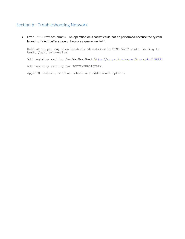## Section b - Troubleshooting Network

 Error – "TCP Provider, error: 0 - An operation on a socket could not be performed because the system lacked sufficient buffer space or because a queue was full".

NetStat output may show hundreds of entries in TIME\_WAIT state leading to buffer/port exhaustion

Add registry setting for **MaxUserPort** <http://support.microsoft.com/kb/196271>

Add registry setting for TCPTIMEWAITDELAY.

App/IIS restart, machine reboot are additional options.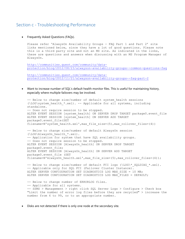## Section c - Troubleshooting Performance

• Frequently Asked Questions (FAQs).

Please refer 'AlwaysOn Availability Groups - FAQ Part 1 and Part 2' site links mentioned below, since they have a lot of good questions. Please note this is a third party site and not an MS site. As indicated in the links, these are questions and answers when discussing with an MS Program Manager of AlwaysOn.

[http://communities.quest.com/community/data](http://communities.quest.com/community/data-protection/blog/2012/08/23/alwayson-availability-groups--common-questions-faq)[protection/blog/2012/08/23/alwayson-availability-groups--common-questions-faq](http://communities.quest.com/community/data-protection/blog/2012/08/23/alwayson-availability-groups--common-questions-faq)

[http://communities.quest.com/community/data](http://communities.quest.com/community/data-protection/blog/2012/11/21/alwayson-availability-groups--faq-part-2)[protection/blog/2012/11/21/alwayson-availability-groups--faq-part-2](http://communities.quest.com/community/data-protection/blog/2012/11/21/alwayson-availability-groups--faq-part-2)

 Want to increase number of SQL's default health monitor files. This is useful for maintaining history, especially where multiple failovers may be involved.

```
-- Below to change size/number of default system health sessions
(\LOG\system_health_*.xel). -- Applicable for all systems, including 
standalone. 
-- Does not require session to be stopped.
ALTER EVENT SESSION [system health] ON SERVER DROP TARGET package0.event file
ALTER EVENT SESSION [system_health] ON SERVER ADD TARGET 
package0.event_file(SET 
filename=N'system_health.xel',max_file_size=(5),max_rollover_files=(4))
-- Below to change size/number of default AlwaysOn session 
(\LOG\AlwaysOn_health_*.xel).
-- Application for system that have SQL availability groups.
-- Does not require session to be stopped.
ALTER EVENT SESSION [AlwaysOn_health] ON SERVER DROP TARGET 
package0.event_file;
ALTER EVENT SESSION [AlwaysOn_health] ON SERVER ADD TARGET 
package0.event_file (SET 
filename=N'AlwaysOn health.xel',max file size=(5),max rollover files=(4));
-- Below to change size/number of default FCI logs (\LOG\* SOLDIAG *.xel).
-- Applicable only for SQL FCI (Failover Cluster Instance).
ALTER SERVER CONFIGURATION SET DIAGNOSTICS LOG MAX_SIZE = 10 MB;
ALTER SERVER CONFIGURATION SET DIAGNOSTICS LOG MAX_FILES = DEFAULT;
-- Below to change number of ERRORLOG files.
-- Applicable for all systems.
-- SSMS > Management > right click SQL Server Logs > Configure > Check box 
"Limit the number of error log files before they are recycled" > increase the 
number from 6 to 99, or to an appropriate number.
```
Disks are not detected if there is only one node at the secondary site.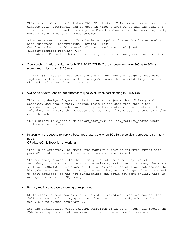This is a limitation of Windows 2008 R2 cluster. This issue does not occur in Windows 2012. PowerShell can be used in Windows 2008 R2 to add the disk and it will work. Will need to modify the Possible Owners for the resource, as by default it will have all nodes checked.

Add-ClusterResource -Group "Available Storage" - Cluster "myclustername" - Name "diskname" -ResourceType "Physical Disk" Get-ClusterResource "diskname" -Cluster "myclustername" | setclusterparameter DiskPath "F:" # In above, F: is the drive letter assigned in disk management for the disk.

• Slow synchronization. Waittime for HADR\_SYNC\_COMMIT grows anywhere from 500ms to 900ms (compared to less than 15-20 ms).

If KB2723814 not applied, then try the KB workaround of suspend secondary replica and then resume, so that AlwaysOn knows that availability mode has changed back to synchronous commit.

SQL Server Agent Jobs do not automatically failover, when participating in AlwaysOn.

This is by design. Suggestion is to create the job at both Primary and Secondary and enable them. Include logic in job step that checks the role desc in sys.dm hadr availability replica states of the database. If role desc is primary then execute the job, and if role desc is secondary then exit the job.

TSQL: select role desc from sys.dm hadr availability replica states where is local=1 and role=1;

 Reason why the secondary replica becomes unavailable when SQL Server service is stopped on primary node.

OR AlwaysOn failback is not working.

This is as expected. Increment "the maximum number of failures during this period" count. Its default value on n node cluster is n-1.

The secondary connects to the Primary and not the other way around. If secondary is trying to connect to the primary, and primary is down, the state will be RESOLVING. For example, if the SAN was taken offline that hosted the AlwaysOn database on the primary, the secondary was no longer able to connect to that database, so was not synchronized and could not come online. This is an expected behavior (By Design).

Primary replica database becoming unresponsive

While checking root cause, ensure latest SQL/Windows fixes and can set the following on availability groups so they are not adversely effected by any non-yielding events temporarily.

Set the availability group FAILURE CONDITION LEVEL to 1 which will reduce the SQL Server symptoms that can result in health detection failure alert.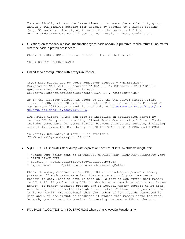To specifically address the lease timeout, increase the availability group HEALTH CHECK TIMEOUT setting from default 30 seconds to a higher setting (e.g. 90 seconds). The signal interval for the lease is 1/3 the HEALTH CHECK TIMEOUT, so a 10 sec gap can result in lease expiration.

 Questions on secondary replicas. The function sys.fn\_hadr\_backup\_is\_preferred\_replica returns 0 no matter what the backup preference is set to.

Check if @@SERVERNAME returns correct value on that server.

TSQL: SELECT @@SERVERNAME;

Linked server configuration with AlwaysOn listener.

TSQL: EXEC master.dbo.sp\_addlinkedserver @server = N'MYLISTENER', @srvproduct=N'SQL2012', @provider=N'SQLNCLI11', @datasrc=N'MYLISTENER', @provstr=N'Provider=SQLNCLI11.1; Data Source=myListener;ApplicationIntent=READONLY', @catalog=N'DB1'

As in the previous version in order to use the SQL Server Native Client (11.x) in SQL Server 2012, Feature Pack 2012 must be installed. Microsoft® SQL Server® 2012 Feature Pack is available at [http://www.microsoft.com/en](http://www.microsoft.com/en-us/download/details.aspx?id=29065)[us/download/details.aspx?id=29065.](http://www.microsoft.com/en-us/download/details.aspx?id=29065)

SQL Native Client (SNAC) can also be installed on application server by running SQL Setup and installing 'Client Tools Connectivity.' Client Tools includes components for communication between clients and servers, including network libraries for DB-Library, OLEDB for OLAP, ODBC, ADODB, and ADOMD+.

To verify, SQL Native Client DLL is available "C:\Windows\System32\sqlncli11.dll"

SQL ERRORLOG indicates stack dump with expression "pcbActualData <= cbRemainingBuffer".

\*\*\*Stack Dump being sent to E:\MSSQL11.MSSQLSERVER\MSSQL\LOG\SQLDump0007.txt \* BEGIN STACK DUMP:

- \* Location: HadrAvailabilityGroupReplica.cpp:943
- \* Expression: \*pcbActualData <= cbRemainingBuffer

Check if memory messages in SQL ERRORLOG which indicates possible memory pressure. If such messages exist, then ensure sp configure 'max server memory' is set. Point to note is that CLR is part of SQL buffer pool memory in SQL 2012. If you're using CLR, it should be accommodated within Max Server Memory. If memory messages present and if LogPool memory appears to be high, are the replicas connected through a fast network? Also, it is possible that it is so heavily transactional that the number of log records generated is high and with the amount of databases it pushes this memory above the roof. As such, you may want to consider increasing the memory/RAM on the box.

• FAIL PAGE ALLOCATION 1 in SQL ERRORLOG when using AlwaysOn Functionality.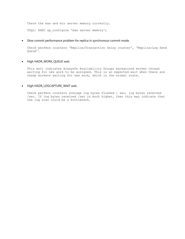Check the max and min server memory correctly.

TSQL: EXEC sp\_configure 'max server memory';

#### Slow commit performance problem for replica in synchronous commit mode.

Check perfmon counters 'Replica:Transaction Delay counter', 'Replica:Log Send Queue'.

#### • High HADR\_WORK\_QUEUE wait.

This wait indicates AlwaysOn Availability Groups background worker thread waiting for new work to be assigned. This is an expected wait when there are ready workers waiting for new work, which is the normal state.

#### • High HADR\_LOGCAPTURE\_WAIT wait.

Check perfmon counters average log bytes flushed / sec, log bytes received /sec. If log bytes received /sec is much higher, then this may indicate that the log scan could be a bottleneck.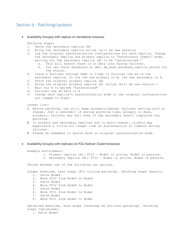## Section d - Patching/updates

Availability Group(s) with replicas on standalone instances.

Patching steps:

- 1. Patch the secondary replica (B)
- 2. Bring the secondary replica online (will be new version)
- 3. Log the original synchronization configurations for each replica. Change the secondary replica and primary replica to "Synchronous Commit" mode, waiting for the secondary replica (B) to be "synchronized."
	- a. This will ensure there is no data loss during failover.
	- b. You can check dashboard or dmv: dm hadr database replica states for the status.
- 4. Issue a failover through SSMS or T-SQL to failover the AG to the
- secondary replica. So now the new primary is B, the new secondary is A. 5. Patch the original primary replica (A)
- 6. Bring the original primary replica (A) online (will be new version )
- 7. Wait for A to become "Synchronized"
- 8. Failover the AG back to A
- 9. Change each replica's synchronization mode to the original configurations you logged in step3.

Caveat list:

- 1. Before patching, can still keep automatic/manual failover setting with no change. Just a reminder: if during patching time, primary is down, automatic failover may fail even if the secondary hasn't completed the patching.
- 2. If primary and secondary replicas are in multi-subnet, clients may experience a little bit longer time of disconnection or timeout during failover.
- 3. Please do remember to switch back to original synchronization mode.
- Availability Group(s) with replica(s) on FCIs (Failover Cluster Instances).

Example environment:

- o Primary replica (A): FCI1 Node1 is active, Node2 is passive.
- o Secondary replica (B): FCI2 Node3 is active, Node4 is passive.

Choose between one of the following two options.

Longer downtime, less steps (FCI rolling patching). Patching steps (basic):

- 1. Patch Node4
- 2. Move FCI2 from Node3 to Node4
- 3. Patch Node3
- 4. Move FCI2 from Node4 to Node3
- 5. Patch Node2
- 6. Move FCI1 from Node1 to Node2
- 7. Patch Node1
- 8. Move FCI1 from Node2 to Node1

Optimized downtime, more steps (Leverage AG failover patching). Patching steps (optimized):

1. Patch Node4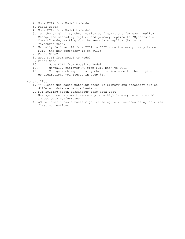- 2. Move FCI2 from Node3 to Node4
- 3. Patch Node3
- 4. Move FCI2 from Node4 to Node3
- 5. Log the original synchronization configurations for each replica. Change the secondary replica and primary replica to "Synchronous Commit" mode, waiting for the secondary replica (B) to be "synchronized".
- 6. Manually failover AG from FCI1 to FCI2 (now the new primary is on FCI2, the new secondary is on FCI1)
- 7. Patch Node2
- 8. Move FCI1 from Node1 to Node2
- 9. Patch Node1
- 10. Move FCI1 from Node2 to Node1
- 11. Manually failover AG from FCI2 back to FCI1
- 12. Change each replica's synchronization mode to the original configurations you logged in step #5.
- Caveat list:
	- 1. \*\* Please use basic patching steps if primary and secondary are on different data centers/subnets \*\*
	- 2. FCI rolling patch guarantees zero data lost
	- 3. Use synchronous commit secondary on a high latency network would impact OLTP performance
	- 4. AG failover cross subnets might cause up to 20 seconds delay on client first connections.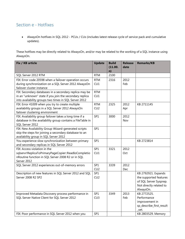## Section e - Hotfixes

 AlwaysOn hotfixes in SQL 2012 - PCUs / CUs (includes latest release cycle of service pack and cumulative updates).

These hotfixes may be directly related to AlwaysOn, and/or may be related to the working of a SQL instance using AlwaysOn.

| Fix / KB article                                           | <b>Update</b> | <b>Build</b><br>(11.00.<br>n) | <b>Release</b><br>date | <b>Remarks/KB</b>        |
|------------------------------------------------------------|---------------|-------------------------------|------------------------|--------------------------|
| SQL Server 2012 RTM                                        | <b>RTM</b>    | 2100                          |                        |                          |
| FIX: Error code 20598 when a failover operation occurs     | <b>RTM</b>    | 2316                          | 2012                   |                          |
| during synchronization on a SQL Server 2012 AlwaysOn       | CU1           |                               | Feb                    |                          |
| failover cluster instance                                  |               |                               |                        |                          |
| FIX: Secondary databases in a secondary replica may be     | <b>RTM</b>    |                               |                        |                          |
| in an "unknown" state if you join the secondary replica    | CU1           |                               |                        |                          |
| into availability groups two times in SQL Server 2012      |               |                               |                        |                          |
| FIX: Error 41009 when you try to create multiple           | <b>RTM</b>    | 2325                          | 2012                   | KB 2711145               |
| availability groups in a SQL Server 2012 AlwaysOn          | CU2           |                               | Apr                    |                          |
| failover clustering environment                            |               |                               |                        |                          |
| FIX: Availability group failover takes a long time if a    | SP1           | 3000                          | 2012                   |                          |
| database in the availability group contains a FileTable in |               |                               | Nov                    |                          |
| SQL Server 2012                                            |               |                               |                        |                          |
| FIX: New Availability Group Wizard-generated scripts       | SP1           |                               |                        |                          |
| skip the steps for joining a secondary database to an      |               |                               |                        |                          |
| availability group in SQL Server 2012                      |               |                               |                        |                          |
| You experience slow synchronization between primary        | SP1           |                               |                        | KB 2723814               |
| and secondary replicas in SQL Server 2012                  |               |                               |                        |                          |
| FIX: Access violation in the                               | SP1           | 3321                          | 2012                   |                          |
| sqlservr!ReplicaToPrimaryPageCopier::ReadIoCompletio       | CU1           |                               | Oct                    |                          |
| nRoutine function in SQL Server 2008 R2 or in SQL          |               |                               |                        |                          |
| Server 2012                                                |               |                               |                        |                          |
| SQL Server 2012 experiences out-of-memory errors           | SP1           | 3339                          | 2012                   |                          |
|                                                            | CU2           |                               | Dec                    |                          |
| Description of new features in SQL Server 2012 and SQL     | SP1           |                               |                        | KB 2792921. Expands      |
| Server 2008 R2 SP2                                         | CU2           |                               |                        | the supported features   |
|                                                            |               |                               |                        | of SQL Server Sysprep.   |
|                                                            |               |                               |                        | Not directly related to  |
|                                                            |               |                               |                        | AlwaysOn.                |
| Improved Metadata Discovery process performance in         | SP1           | 3349                          | 2013                   | KB 2772525.              |
| SQL Server Native Client for SQL Server 2012               | CU3           |                               | Feb                    | Performance              |
|                                                            |               |                               |                        | improvement in           |
|                                                            |               |                               |                        | sp_describe_first_result |
|                                                            |               |                               |                        | _set.                    |
| FIX: Poor performance in SQL Server 2012 when you          | SP1           |                               |                        | KB 2803529. Memory       |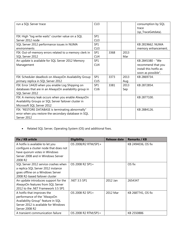| run a SQL Server trace                                  | CU3             |      |      | consumption by SQL     |
|---------------------------------------------------------|-----------------|------|------|------------------------|
|                                                         |                 |      |      | trace                  |
|                                                         |                 |      |      | (sp_TraceGetdata).     |
| FIX: High "log write waits" counter value on a SQL      | SP <sub>1</sub> |      |      |                        |
| Server 2012 node                                        | CU3             |      |      |                        |
| SQL Server 2012 performance issues in NUMA              | SP1             |      |      | KB 2819662. NUMA       |
| environments                                            | CU <sub>3</sub> |      |      | memory enhancement.    |
| FIX: Out-of-memory errors related to a memory clerk in  | SP <sub>1</sub> | 3368 | 2013 |                        |
| SQL Server 2012                                         | CU <sub>4</sub> |      | Mar  |                        |
| An update is available for SQL Server 2012 Memory       | SP1             |      |      | KB 2845380 - "We       |
| Management                                              | CU4             |      |      | recommend that you     |
|                                                         |                 |      |      | install this hotfix as |
|                                                         |                 |      |      | soon as possible".     |
| FIX: Scheduler deadlock on AlwaysOn Availability Group  | SP1             | 3373 | 2013 | KB 2869734.            |
| primary replica in SQL Server 2012                      | CU5             |      | Aug  |                        |
| FIX: Error 14420 when you enable Log Shipping on        | SP1             | 3381 | 2013 | KB 2872854.            |
| databases that are in an AlwaysOn availability group in | CU6             |      | Sep  |                        |
| SQL Server 2012                                         |                 |      |      |                        |
| FIX: A memory leak occurs when you enable AlwaysOn      |                 |      |      | KB 2877100.            |
| Availability Groups or SQL Server failover cluster in   |                 |      |      |                        |
| Microsoft SQL Server 2012                               |                 |      |      |                        |
| FIX: "RESTORE DATABASE is terminating abnormally"       |                 |      |      | KB 2884126.            |
| error when you restore the secondary database in SQL    |                 |      |      |                        |
| Server 2012                                             |                 |      |      |                        |

Related SQL Server, Operating System (OS) and additional fixes.

| Fix / KB article                       | <b>Eligibility</b>  | Release date | <b>Remarks / KB</b> |
|----------------------------------------|---------------------|--------------|---------------------|
| A hotfix is available to let you       | OS 2008/R2 RTM/SP1+ |              | KB 2494036, OS fix  |
| configure a cluster node that does not |                     |              |                     |
| have quorum votes in Windows           |                     |              |                     |
| Server 2008 and in Windows Server      |                     |              |                     |
| 2008 R2                                |                     |              |                     |
| SQL Server 2012 service crashes when   | OS 2008 R2 SP1+     |              | OS fix              |
| a replica SQL Server 2012 instance     |                     |              |                     |
| goes offline on a Windows Server       |                     |              |                     |
| 2008 R2-based failover cluster         |                     |              |                     |
| An update introduces support for the   | .NET 3.5 SP1        | 2012 Jan     | 2654347             |
| AlwaysOn features from SQL Server      |                     |              |                     |
| 2012 to the .NET Framework 3.5 SP1     |                     |              |                     |
| A hotfix that improves the             | OS 2008 R2 SP1+     | 2012 Mar     | KB 2687741, OS fix  |
| performance of the "AlwaysOn           |                     |              |                     |
| Availability Group" feature in SQL     |                     |              |                     |
| Server 2012 is available for Windows   |                     |              |                     |
| Server 2008 R2                         |                     |              |                     |
| A transient communication failure      | OS 2008 R2 RTM/SP1+ |              | KB 2550886          |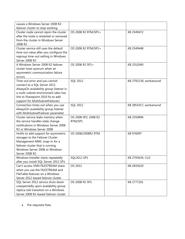| causes a Windows Server 2008 R2         |                      |                        |
|-----------------------------------------|----------------------|------------------------|
| failover cluster to stop working        |                      |                        |
| Cluster node cannot rejoin the cluster  | OS 2008 R2 RTM/SP1+  | KB 2549472             |
| after the node is restarted or removed  |                      |                        |
| from the cluster in Windows Server      |                      |                        |
| 2008 R2                                 |                      |                        |
| Cluster service still uses the default  | OS 2008 R2 RTM/SP1+  | KB 2549448             |
| time-out value after you configure the  |                      |                        |
| regroup time-out setting in Windows     |                      |                        |
| Server 2008 R2                          |                      |                        |
| A Windows Server 2008 R2 failover       | OS 2008 R2 SP1+      | KB 2552040             |
| cluster loses quorum when an            |                      |                        |
| asymmetric communication failure        |                      |                        |
| occurs                                  |                      |                        |
| Time-out error and you cannot           | <b>SQL 2012</b>      | KB 2792139, workaround |
| connect to a SQL Server 2012            |                      |                        |
| AlwaysOn availability group listener in |                      |                        |
| a multi-subnet environment (also has    |                      |                        |
| link to Sharepoint 2010 fix to add      |                      |                        |
| support for MultiSubnetFailover)        |                      |                        |
| Connection times out when you use       | <b>SQL 2012</b>      | KB 2855417, workaround |
| AlwaysOn availability group listener    |                      |                        |
| with MultiSubnetFailover parameter      |                      |                        |
| Cluster service leaks memory when       | OS 2008 SP2, 2008 R2 | KB 2550894             |
| the service handles state change        | RTM/SP1              |                        |
| notifications in Windows Server 2008    |                      |                        |
| R2 or Windows Server 2008               |                      |                        |
| Hotfix to add support for asymmetric    | OS 2008/2008R2 RTM   | KB 976097              |
| storages to the Failover Cluster        |                      |                        |
| Management MMC snap-in for a            |                      |                        |
| failover cluster that is running        |                      |                        |
| Windows Server 2008 or Windows          |                      |                        |
| Server 2008 R2                          |                      |                        |
| Windows Installer starts repeatedly     | SQL2012 SP1          | KB 2793634, CU2        |
| after you install SQL Server 2012 SP1   |                      |                        |
| Can't access VNN FILESTREAM share       | OS 2012              | KB 2835620             |
| when you use the FILESTREAM and         |                      |                        |
| FileTable features on a Windows         |                      |                        |
| Server 2012-based failover cluster      |                      |                        |
| SQL Server 2012 service shuts down      | OS 2008 R2 SP1       | KB 2777201             |
| unexpectedly upon availability group    |                      |                        |
| replica role transition on a Windows    |                      |                        |
| Server 2008 R2-based failover cluster   |                      |                        |

• Pre-requisite fixes.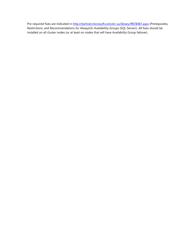Pre-required fixes are indicated in<http://technet.microsoft.com/en-us/library/ff878487.aspx> (Prerequisites, Restrictions, and Recommendations for AlwaysOn Availability Groups (SQL Server)). All fixes should be installed on all cluster nodes (or at least on nodes that will have Availability Group failover).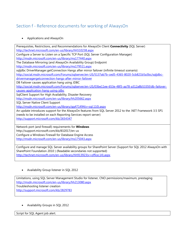## Section f - Reference documents for working of AlwaysOn

### Applications and AlwaysOn

Prerequisites, Restrictions, and Recommendations for AlwaysOn Client **Connectivity** (SQL Server) <http://technet.microsoft.com/en-us/library/hh510238.aspx> Configure a Server to Listen on a Specific TCP Port (SQL Server Configuration Manager) <http://msdn.microsoft.com/en-us/library/ms177440.aspx> The Database Mirroring (and AlwaysOn Availability Group) Endpoint <http://msdn.microsoft.com/en-us/library/ms179511.aspx> sqljdbc DriverManager.getConnection Hangs after mirror failover (infinite timeout scenario) [http://social.msdn.microsoft.com/Forums/sqlserver/en-US/5137ab7b-ced5-4365-8020-5cb821b5a3bc/sqljdbc](http://social.msdn.microsoft.com/Forums/sqlserver/en-US/5137ab7b-ced5-4365-8020-5cb821b5a3bc/sqljdbc-drivermanagergetconnection-hangs-after-mirror-failover)[drivermanagergetconnection-hangs-after-mirror-failover](http://social.msdn.microsoft.com/Forums/sqlserver/en-US/5137ab7b-ced5-4365-8020-5cb821b5a3bc/sqljdbc-drivermanagergetconnection-hangs-after-mirror-failover) DB Failover causes application hang using JDBC [http://social.msdn.microsoft.com/Forums/sqlserver/en-US/03be11ee-653e-48f3-aa78-a312a8b5335f/db-failover](http://social.msdn.microsoft.com/Forums/sqlserver/en-US/03be11ee-653e-48f3-aa78-a312a8b5335f/db-failover-causes-application-hang-using-jdbc)[causes-application-hang-using-jdbc](http://social.msdn.microsoft.com/Forums/sqlserver/en-US/03be11ee-653e-48f3-aa78-a312a8b5335f/db-failover-causes-application-hang-using-jdbc) SqlClient Support for High Availability, Disaster Recovery <http://msdn.microsoft.com/en-us/library/hh205662.aspx> SQL Server Native Client Support [http://msdn.microsoft.com/en-us/library/gg471494\(v=sql.110\).aspx](http://msdn.microsoft.com/en-us/library/gg471494(v=sql.110).aspx) An update introduces support for the AlwaysOn features from SQL Server 2012 to the .NET Framework 3.5 SP1 (needs to be installed on each Reporting Services report server) <http://support.microsoft.com/kb/2654347> Network port (and firewall) requirements for **Windows** http://support.microsoft.com/kb/832017/en-us Configure a Windows Firewall for Database Engine Access <http://msdn.microsoft.com/en-us/library/ms175043.aspx>

Configure and manage SQL Server availability groups for SharePoint Server (Support for SQL 2012 AlwaysOn with SharePoint Foundation 2010 ) (Readable secondaries not supported) [http://technet.microsoft.com/en-us/library/hh913923\(v=office.14\).aspx](http://technet.microsoft.com/en-us/library/hh913923(v=office.14).aspx)

Availability Group listener in SQL 2012

Limitations, using SQL Server Management Studio for listener, CNO permissions/maximum, prestaging <http://msdn.microsoft.com/en-us/library/hh213080.aspx> Troubleshooting listener creation <http://support.microsoft.com/kb/2829783>

Availability Groups in SQL 2012

Script for SQL Agent job alert.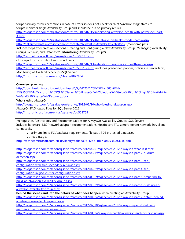Script basically throws exceptions in case of errors so does not check for "Not Synchronizing" state etc. Scripts monitors single Availability Group and should be run on primary replica.

[http://blogs.msdn.com/b/sqlalwayson/archive/2012/02/15/monitoring-alwayson-health-with-powershell-part-](http://blogs.msdn.com/b/sqlalwayson/archive/2012/02/15/monitoring-alwayson-health-with-powershell-part-3.aspx)[3.aspx](http://blogs.msdn.com/b/sqlalwayson/archive/2012/02/15/monitoring-alwayson-health-with-powershell-part-3.aspx)

<http://blogs.msdn.com/b/sqlalwayson/archive/2012/02/15/the-always-on-health-model-part-4.aspx>

<http://gallery.technet.microsoft.com/scriptcenter/AlwaysOn-Availability-23bc88b5> (monitorag.ps1)

Includes steps after creation (sections 'Creating and Configuring a New Availability Group', 'Managing Availability Groups, Replicas, and Databases', **'Monitoring** Availability Groups').

<http://technet.microsoft.com/en-us/library/gg509118.aspx>

GUI steps for custom dashboard conditions

<http://blogs.msdn.com/b/sqlalwayson/archive/2012/02/13/extending-the-alwayson-health-model.aspx>

<http://technet.microsoft.com/en-us/library/hh510235.aspx> (includes predefined policies, policies in Server facet). Monitoring of Availability Groups (SQL Server)

<http://msdn.microsoft.com/en-us/library/ff877954>

**Overview**, planning

[http://download.microsoft.com/download/D/2/0/D20E1C5F-72EA-4505-9F26-](http://download.microsoft.com/download/D/2/0/D20E1C5F-72EA-4505-9F26-FEF9550EFD44/Microsoft%20SQL%20Server%20AlwaysOn%20Solutions%20Guide%20for%20High%20Availability%20and%20Disaster%20Recovery.docx)

[FEF9550EFD44/Microsoft%20SQL%20Server%20AlwaysOn%20Solutions%20Guide%20for%20High%20Availability](http://download.microsoft.com/download/D/2/0/D20E1C5F-72EA-4505-9F26-FEF9550EFD44/Microsoft%20SQL%20Server%20AlwaysOn%20Solutions%20Guide%20for%20High%20Availability%20and%20Disaster%20Recovery.docx)

[%20and%20Disaster%20Recovery.docx](http://download.microsoft.com/download/D/2/0/D20E1C5F-72EA-4505-9F26-FEF9550EFD44/Microsoft%20SQL%20Server%20AlwaysOn%20Solutions%20Guide%20for%20High%20Availability%20and%20Disaster%20Recovery.docx)

Who is using AlwaysOn

<http://blogs.msdn.com/b/sqlalwayson/archive/2012/01/10/who-is-using-alwayson.aspx>

AlwaysOn FAQ, capabilities for SQL Server 2012

<http://msdn.microsoft.com/en-us/sqlserver/gg508768>

Prerequisites, Restrictions, and Recommendations for AlwaysOn Availability Groups (SQL Server) Includes hardware, NIC (network adapter) recommendations, HostRecordTTL, same/different network link, client connectivity

, maximum limits, FCI/database requirements, file path, TDE protected databases

, thread usage.

<http://technet.microsoft.com/en-us/library/edbab896-42bb-4d17-8d75-e92ca11f7abb>

<http://blogs.msdn.com/b/saponsqlserver/archive/2012/02/07/sql-server-2012-alwayson-what-is-it.aspx> [http://blogs.msdn.com/b/saponsqlserver/archive/2012/02/19/sql-server-2012-alwayson-part-2-quorum](http://blogs.msdn.com/b/saponsqlserver/archive/2012/02/19/sql-server-2012-alwayson-part-2-quorum-detection.aspx)[detection.aspx](http://blogs.msdn.com/b/saponsqlserver/archive/2012/02/19/sql-server-2012-alwayson-part-2-quorum-detection.aspx)

[http://blogs.msdn.com/b/saponsqlserver/archive/2012/02/20/sql-server-2012-alwayson-part-3-sap](http://blogs.msdn.com/b/saponsqlserver/archive/2012/02/20/sql-server-2012-alwayson-part-3-sap-configuration-with-two-secondary-replicas.aspx)[configuration-with-two-secondary-replicas.aspx](http://blogs.msdn.com/b/saponsqlserver/archive/2012/02/20/sql-server-2012-alwayson-part-3-sap-configuration-with-two-secondary-replicas.aspx)

[http://blogs.msdn.com/b/saponsqlserver/archive/2012/02/29/sql-server-2012-alwayson-part-4-sap](http://blogs.msdn.com/b/saponsqlserver/archive/2012/02/29/sql-server-2012-alwayson-part-4-sap-configuration-in-geo-cluster-configuration.aspx)[configuration-in-geo-cluster-configuration.aspx](http://blogs.msdn.com/b/saponsqlserver/archive/2012/02/29/sql-server-2012-alwayson-part-4-sap-configuration-in-geo-cluster-configuration.aspx)

[http://blogs.msdn.com/b/saponsqlserver/archive/2012/03/29/sql-server-2012-alwayson-part-5-preparing-to](http://blogs.msdn.com/b/saponsqlserver/archive/2012/03/29/sql-server-2012-alwayson-part-5-preparing-to-build-an-alwayson-availability-group.aspx)[build-an-alwayson-availability-group.aspx](http://blogs.msdn.com/b/saponsqlserver/archive/2012/03/29/sql-server-2012-alwayson-part-5-preparing-to-build-an-alwayson-availability-group.aspx)

[http://blogs.msdn.com/b/saponsqlserver/archive/2012/03/29/sql-server-2012-alwayson-part-6-building-an](http://blogs.msdn.com/b/saponsqlserver/archive/2012/03/29/sql-server-2012-alwayson-part-6-building-an-alwayson-availability-group.aspx)[alwayson-availability-group.aspx](http://blogs.msdn.com/b/saponsqlserver/archive/2012/03/29/sql-server-2012-alwayson-part-6-building-an-alwayson-availability-group.aspx)

**behind the scenes and into the details of what does happen** when creating an Availability Group [http://blogs.msdn.com/b/saponsqlserver/archive/2012/04/24/sql-server-2012-alwayson-part-7-details-behind](http://blogs.msdn.com/b/saponsqlserver/archive/2012/04/24/sql-server-2012-alwayson-part-7-details-behind-an-alwayson-availability-group.aspx)[an-alwayson-availability-group.aspx](http://blogs.msdn.com/b/saponsqlserver/archive/2012/04/24/sql-server-2012-alwayson-part-7-details-behind-an-alwayson-availability-group.aspx)

[http://blogs.msdn.com/b/saponsqlserver/archive/2012/07/10/sql-server-2012-alwayson-part-8-failover](http://blogs.msdn.com/b/saponsqlserver/archive/2012/07/10/sql-server-2012-alwayson-part-8-failover-mechanism-with-sap-netweaver.aspx)[mechanism-with-sap-netweaver.aspx](http://blogs.msdn.com/b/saponsqlserver/archive/2012/07/10/sql-server-2012-alwayson-part-8-failover-mechanism-with-sap-netweaver.aspx)

<http://blogs.msdn.com/b/saponsqlserver/archive/2013/01/24/alwayson-part10-alwayson-and-logshipping.aspx>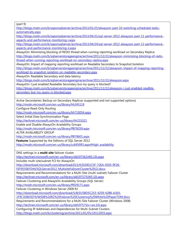| http://blogs.msdn.com/b/saponsqlserver/archive/2013/01/25/alwayson-part-10-switching-scheduled-tasks-                                      |
|--------------------------------------------------------------------------------------------------------------------------------------------|
| automatically.aspx                                                                                                                         |
| http://blogs.msdn.com/b/saponsglserver/archive/2013/04/21/sql-server-2012-alwayson-part-11-performance-                                    |
| aspects-and-performance-monitoring-i.aspx                                                                                                  |
| http://blogs.msdn.com/b/saponsqlserver/archive/2013/04/24/sql-server-2012-alwayson-part-12-performance-                                    |
| aspects-and-performance-monitoring-ii.aspx                                                                                                 |
| AlwaysOn: Minimizing blocking of REDO thread when running reporting workload on Secondary Replica                                          |
| http://blogs.msdn.com/b/sglserverstorageengine/archive/2011/12/22/alwayson-minimizing-blocking-of-redo-                                    |
| thread-when-running-reporting-workload-on-secondary-replica.aspx                                                                           |
| AlwaysOn: Impact of mapping reporting workload on Readable Secondary to Snapshot Isolation                                                 |
| http://blogs.msdn.com/b/sglserverstorageengine/archive/2011/12/22/alwayson-impact-of-mapping-reporting-                                    |
| workload-to-snapshot-isolation-on-readable-secondary.aspx                                                                                  |
| AlwaysOn: Readable Secondary and data latency                                                                                              |
| http://blogs.msdn.com/b/sqlserverstorageengine/archive/2011/12/22/alwayson.aspx                                                            |
| AlwaysOn: I just enabled Readable Secondary but my query is blocked?                                                                       |
| http://blogs.msdn.com/b/sglserverstorageengine/archive/2011/12/22/alwayson-i-just-enabled-readble-                                         |
| secondary-but-my-query-is-blocked.aspx                                                                                                     |
|                                                                                                                                            |
| Active Secondaries: Backup on Secondary Replicas (supported and not supported options)                                                     |
| http://msdn.microsoft.com/en-us/library/hh245119                                                                                           |
| Configure Read-Only Routing                                                                                                                |
| http://msdn.microsoft.com/en-us/library/hh710054.aspx                                                                                      |
| Select Initial Data Synchronization Page                                                                                                   |
| http://technet.microsoft.com/en-us/library/hh231021                                                                                        |
| Enable and Disable AlwaysOn Availability Groups                                                                                            |
| http://msdn.microsoft.com/en-us/library/ff878259.aspx                                                                                      |
| ALTER AVAILABILITY GROUP                                                                                                                   |
| http://msdn.microsoft.com/en-us/library/ff878601.aspx                                                                                      |
| Features Supported by the Editions of SQL Server 2012                                                                                      |
| http://msdn.microsoft.com/en-us/library/cc645993.aspx#High_availability                                                                    |
|                                                                                                                                            |
| DNS settings in a <b>multi-site</b> failover cluster                                                                                       |
| http://technet.microsoft.com/en-us/library/dd197562(WS.10).aspx                                                                            |
| Includes multi-site/subnet FCI for AlwaysOn                                                                                                |
| http://download.microsoft.com/download/D/2/0/D20E1C5F-72EA-4505-9F26-                                                                      |
| FEF9550EFD44/SQLServer2012 MultisiteFailoverCluster%20(2).docx                                                                             |
| Requirements and Recommendations for a Multi-Site (multi-subnet) Failover Cluster                                                          |
| http://technet.microsoft.com/en-us/library/dd197575(WS.10).aspx                                                                            |
| Failover Clustering and AlwaysOn Availability Groups (SQL Server)                                                                          |
| http://msdn.microsoft.com/en-us/library/ff929171.aspx                                                                                      |
| Failover Clustering in Windows Server 2008 R2                                                                                              |
| http://download.microsoft.com/download/5/B/D/5BD5C253-4259-428B-A3E4-                                                                      |
|                                                                                                                                            |
| 1F9C3D803074/WS08%20R2%20Failover%20Clustering%20White%20PaperTDM.docx                                                                     |
| Requirements and Recommendations for a Multi-Site Failover Cluster (Windows 2008)                                                          |
| http://technet.microsoft.com/en-us/library/dd197575(v=ws.10).aspx                                                                          |
| Configuring IP Addresses and Dependencies for Multi-Subnet Clusters<br>http://blogs.msdn.com/b/clustering/archive/2011/01/05/10112055.aspx |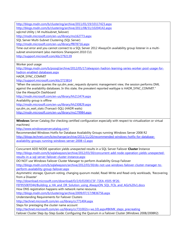<http://blogs.msdn.com/b/clustering/archive/2011/01/19/10117423.aspx>

<http://blogs.msdn.com/b/clustering/archive/2011/08/31/10204142.aspx>

sqlcmd Utility (-M multisubnet failover)

<http://msdn.microsoft.com/en-us/library/ms162773.aspx>

SQL Server Multi-Subnet Clustering (SQL Server)

<http://msdn.microsoft.com/en-us/library/ff878716.aspx>

Time-out error and you cannot connect to a SQL Server 2012 AlwaysOn availability group listener in a multisubnet environment (also mentions Sharepoint 2010 CU)

<http://support.microsoft.com/kb/2792139>

Worker pool usage

[http://blogs.msdn.com/b/psssql/archive/2012/05/17/alwayson-hadron-learning-series-worker-pool-usage-for](http://blogs.msdn.com/b/psssql/archive/2012/05/17/alwayson-hadron-learning-series-worker-pool-usage-for-hadron-enabled-databases.aspx)[hadron-enabled-databases.aspx](http://blogs.msdn.com/b/psssql/archive/2012/05/17/alwayson-hadron-learning-series-worker-pool-usage-for-hadron-enabled-databases.aspx)

HADR\_SYNC\_COMMIT

<http://support.microsoft.com/kb/2723814>

"When the session queries the sys.dm\_exec\_requests dynamic management view, the session performs DML against the availability databases. In this state, the prevalent reported waittype is HADR\_SYNC\_COMMIT." Use the AlwaysOn Dashboard

<http://msdn.microsoft.com/en-us/library/hh213474.aspx>

Availability group is offline

<http://msdn.microsoft.com/en-us/library/hh230829.aspx>

sys.dm\_os\_wait\_stats (Transact-SQL) (HADR waits)

<http://msdn.microsoft.com/en-us/library/ms179984.aspx>

**Windows** Server Catalog (for checking certified configuration especially with respect to virtualization or virtual machines)

<http://www.windowsservercatalog.com/>

Recommended Windows Hotfix for Database Availability Groups running Windows Server 2008 R2 [http://blogs.technet.com/b/exchange/archive/2011/11/20/recommended-windows-hotfix-for-database](http://blogs.technet.com/b/exchange/archive/2011/11/20/recommended-windows-hotfix-for-database-availability-groups-running-windows-server-2008-r2.aspx)[availability-groups-running-windows-server-2008-r2.aspx](http://blogs.technet.com/b/exchange/archive/2011/11/20/recommended-windows-hotfix-for-database-availability-groups-running-windows-server-2008-r2.aspx)

Concurrent ADD NODE operation yields unexpected results in a SQL Server Failover **Cluster** Instance [http://blogs.msdn.com/b/sqlalwayson/archive/2012/03/30/concurrent-add-node-operation-yields-unexpected](http://blogs.msdn.com/b/sqlalwayson/archive/2012/03/30/concurrent-add-node-operation-yields-unexpected-results-in-a-sql-server-failover-cluster-instance.aspx)[results-in-a-sql-server-failover-cluster-instance.aspx](http://blogs.msdn.com/b/sqlalwayson/archive/2012/03/30/concurrent-add-node-operation-yields-unexpected-results-in-a-sql-server-failover-cluster-instance.aspx)

DO NOT use Windows Failover Cluster Manager to perform Availability Group Failover

[http://blogs.msdn.com/b/sqlalwayson/archive/2012/03/30/do-not-use-windows-failover-cluster-manager-to](http://blogs.msdn.com/b/sqlalwayson/archive/2012/03/30/do-not-use-windows-failover-cluster-manager-to-perform-availability-group-failover.aspx)[perform-availability-group-failover.aspx](http://blogs.msdn.com/b/sqlalwayson/archive/2012/03/30/do-not-use-windows-failover-cluster-manager-to-perform-availability-group-failover.aspx)

Asymmetric storage, Quorum voting, changing quorum model, Read-Write and Read-only workloads, 'Recovering from a Disaster'

[http://download.microsoft.com/download/D/2/0/D20E1C5F-72EA-4505-9F26-](http://download.microsoft.com/download/D/2/0/D20E1C5F-72EA-4505-9F26-FEF9550EFD44/Building_a_HA_and_DR_Solution_using_AlwaysON_SQL_FCIs_and_AGs%20v1.docx)

FEF9550EFD44/Building a HA and DR Solution using AlwaysON SOL FCIs and AGs%20v1.docx

How DNS registration happens with network name resource.

<http://blogs.msdn.com/b/clustering/archive/2009/07/17/9836756.aspx>

Understanding Requirements for Failover Clusters

<http://technet.microsoft.com/en-us/library/cc771404.aspx>

Steps for prestaging the cluster name account

[http://technet.microsoft.com/en-us/library/cc731002\(v=ws.10\).aspx#BKMK\\_steps\\_precreating](http://technet.microsoft.com/en-us/library/cc731002(v=ws.10).aspx#BKMK_steps_precreating)

Failover Cluster Step-by-Step Guide: Configuring the Quorum in a Failover Cluster (Windows 2008/2008R2)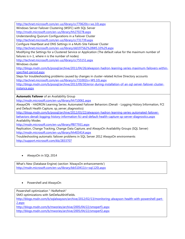[http://technet.microsoft.com/en-us/library/cc770620\(v=ws.10\).aspx](http://technet.microsoft.com/en-us/library/cc770620(v=ws.10).aspx)

Windows Server Failover Clustering (WSFC) with SQL Server

<http://msdn.microsoft.com/en-us/library/hh270278.aspx>

Understanding Quorum Configurations in a Failover Cluster

<http://technet.microsoft.com/en-us/library/cc731739.aspx>

Configure Heartbeat and DNS Settings in a Multi-Site Failover Cluster

<http://technet.microsoft.com/en-us/library/dd197562%28WS.10%29.aspx>

Modifying the Settings for a Clustered Service or Application (The default value for the maximum number of failures is n-1, where n is the number of nodes)

<http://technet.microsoft.com/en-us/library/cc755151.aspx>

Windows cluster

[http://blogs.msdn.com/b/psssql/archive/2011/04/26/alwayson-hadron-leanring-series-maximum-failovers-within](http://blogs.msdn.com/b/psssql/archive/2011/04/26/alwayson-hadron-leanring-series-maximum-failovers-within-specified-period.aspx)[specified-period.aspx](http://blogs.msdn.com/b/psssql/archive/2011/04/26/alwayson-hadron-leanring-series-maximum-failovers-within-specified-period.aspx)

Steps for troubleshooting problems caused by changes in cluster-related Active Directory accounts [http://technet.microsoft.com/en-us/library/cc731002\(v=WS.10\).aspx](http://technet.microsoft.com/en-us/library/cc731002(v=WS.10).aspx)

[http://blogs.msdn.com/b/psssql/archive/2013/09/30/error-during-installation-of-an-sql-server-failover-cluster](http://blogs.msdn.com/b/psssql/archive/2013/09/30/error-during-installation-of-an-sql-server-failover-cluster-instance.aspx)[instance.aspx](http://blogs.msdn.com/b/psssql/archive/2013/09/30/error-during-installation-of-an-sql-server-failover-cluster-instance.aspx)

**Automatic Failover** of an Availability Group

<http://msdn.microsoft.com/en-us/library/hh710061.aspx>

AlwaysON - HADRON Learning Series: Automated Failover Behaviors (Denali - Logging History Information, FCI and Default Health Capture, sp\_server\_diagnostics)

[http://blogs.msdn.com/b/psssql/archive/2012/03/22/alwayson-hadron-learning-series-automated-failover](http://blogs.msdn.com/b/psssql/archive/2012/03/22/alwayson-hadron-learning-series-automated-failover-behaviors-denali-logging-history-information-fci-and-default-health-capture-sp-server-diagnostics.aspx)[behaviors-denali-logging-history-information-fci-and-default-health-capture-sp-server-diagnostics.aspx](http://blogs.msdn.com/b/psssql/archive/2012/03/22/alwayson-hadron-learning-series-automated-failover-behaviors-denali-logging-history-information-fci-and-default-health-capture-sp-server-diagnostics.aspx) Availability Modes

<http://msdn.microsoft.com/en-us/library/ff877931.aspx>

Replication, Change Tracking, Change Data Capture, and AlwaysOn Availability Groups (SQL Server) <http://msdn.microsoft.com/en-us/library/hh403414.aspx>

Troubleshooting automatic failover problems in SQL Server 2012 AlwaysOn environments <http://support.microsoft.com/kb/2833707>

AlwaysOn in SQL 2014

What's New (Database Engine) (section 'AlwaysOn enhancements') [http://msdn.microsoft.com/en-us/library/bb510411\(v=sql.120\).aspx](http://msdn.microsoft.com/en-us/library/bb510411(v=sql.120).aspx)

#### Powershell and AlwaysOn

Powershell optimization "-NoRefresh"

SMO optimizations with SetDefaultInitFields.

[http://blogs.msdn.com/b/sqlalwayson/archive/2012/02/13/monitoring-alwayson-health-with-powershell-part-](http://blogs.msdn.com/b/sqlalwayson/archive/2012/02/13/monitoring-alwayson-health-with-powershell-part-2.aspx)[2.aspx](http://blogs.msdn.com/b/sqlalwayson/archive/2012/02/13/monitoring-alwayson-health-with-powershell-part-2.aspx)

<http://blogs.msdn.com/b/mwories/archive/2005/04/22/smoperf1.aspx>

<http://blogs.msdn.com/b/mwories/archive/2005/04/22/smoperf2.aspx>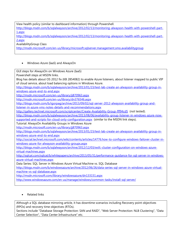View health policy (similar to dashboard information) through Powershell. [http://blogs.msdn.com/b/sqlalwayson/archive/2012/02/13/monitoring-alwayson-health-with-powershell-part-](http://blogs.msdn.com/b/sqlalwayson/archive/2012/02/13/monitoring-alwayson-health-with-powershell-part-1.aspx)[1.aspx](http://blogs.msdn.com/b/sqlalwayson/archive/2012/02/13/monitoring-alwayson-health-with-powershell-part-1.aspx) [http://blogs.msdn.com/b/sqlalwayson/archive/2012/02/13/monitoring-alwayson-health-with-powershell-part-](http://blogs.msdn.com/b/sqlalwayson/archive/2012/02/13/monitoring-alwayson-health-with-powershell-part-2.aspx)[2.aspx](http://blogs.msdn.com/b/sqlalwayson/archive/2012/02/13/monitoring-alwayson-health-with-powershell-part-2.aspx) AvailabilityGroup Class <http://msdn.microsoft.com/en-us/library/microsoft.sqlserver.management.smo.availabilitygroup>

#### Windows Azure (IaaS) and AlwaysOn

GUI steps for AlwaysOn on Windows Azure (IaaS)

Powershell steps at MSDN links.

Blog has details about OS 2012 fix (KB 2854082) to enable Azure listeners, about listener mapped to public VIP of cloud service, about load balancing options in Windows Azure.

[http://blogs.msdn.com/b/sqlalwayson/archive/2013/01/23/test-lab-create-an-alwayson-availability-group-in](http://blogs.msdn.com/b/sqlalwayson/archive/2013/01/23/test-lab-create-an-alwayson-availability-group-in-windows-azure-end-to-end.aspx)[windows-azure-end-to-end.aspx](http://blogs.msdn.com/b/sqlalwayson/archive/2013/01/23/test-lab-create-an-alwayson-availability-group-in-windows-azure-end-to-end.aspx)

<http://msdn.microsoft.com/en-us/library/jj870963.aspx>

<http://msdn.microsoft.com/en-us/library/dn376546.aspx>

[http://blogs.msdn.com/b/igorpag/archive/2013/09/02/sql-server-2012-alwayson-availability-group-and-](http://blogs.msdn.com/b/igorpag/archive/2013/09/02/sql-server-2012-alwayson-availability-group-and-listener-in-azure-vms-notes-details-and-recommendations.aspx)

[listener-in-azure-vms-notes-details-and-recommendations.aspx](http://blogs.msdn.com/b/igorpag/archive/2013/09/02/sql-server-2012-alwayson-availability-group-and-listener-in-azure-vms-notes-details-and-recommendations.aspx)

<http://gallery.technet.microsoft.com/scriptcenter/Create-Availability-Group-fff94cd5> (not tested).

[http://blogs.msdn.com/b/sqlalwayson/archive/2013/08/06/availability-group-listener-in-windows-azure-now-](http://blogs.msdn.com/b/sqlalwayson/archive/2013/08/06/availability-group-listener-in-windows-azure-now-supported-and-scripts-for-cloud-only-configuration.aspx)

[supported-and-scripts-for-cloud-only-configuration.aspx](http://blogs.msdn.com/b/sqlalwayson/archive/2013/08/06/availability-group-listener-in-windows-azure-now-supported-and-scripts-for-cloud-only-configuration.aspx) (similar to the MSDN link steps).

Tutorial: AlwaysOn Availability Groups in Windows Azure

<http://msdn.microsoft.com/en-us/library/jj870963.aspx>

[http://blogs.msdn.com/b/sqlalwayson/archive/2013/01/23/test-lab-create-an-alwayson-availability-group-in](http://blogs.msdn.com/b/sqlalwayson/archive/2013/01/23/test-lab-create-an-alwayson-availability-group-in-windows-azure-end-to-end.aspx)[windows-azure-end-to-end.aspx](http://blogs.msdn.com/b/sqlalwayson/archive/2013/01/23/test-lab-create-an-alwayson-availability-group-in-windows-azure-end-to-end.aspx)

[http://social.technet.microsoft.com/wiki/contents/articles/14776.how-to-configure-windows-failover-cluster-in](http://social.technet.microsoft.com/wiki/contents/articles/14776.how-to-configure-windows-failover-cluster-in-windows-azure-for-alwayson-availability-groups.aspx)[windows-azure-for-alwayson-availability-groups.aspx](http://social.technet.microsoft.com/wiki/contents/articles/14776.how-to-configure-windows-failover-cluster-in-windows-azure-for-alwayson-availability-groups.aspx)

[http://blogs.msdn.com/b/sqlalwayson/archive/2012/12/03/wsfc-cluster-configuration-on-windows-azure](http://blogs.msdn.com/b/sqlalwayson/archive/2012/12/03/wsfc-cluster-configuration-on-windows-azure-virtual-machines.aspx)[virtual-machines.aspx](http://blogs.msdn.com/b/sqlalwayson/archive/2012/12/03/wsfc-cluster-configuration-on-windows-azure-virtual-machines.aspx)

[http://sqlcat.com/sqlcat/b/whitepapers/archive/2013/05/31/performance-guidance-for-sql-server-in-windows](http://sqlcat.com/sqlcat/b/whitepapers/archive/2013/05/31/performance-guidance-for-sql-server-in-windows-azure-virtual-machines.aspx)[azure-virtual-machines.aspx](http://sqlcat.com/sqlcat/b/whitepapers/archive/2013/05/31/performance-guidance-for-sql-server-in-windows-azure-virtual-machines.aspx)

Data Series: SQL Server in Windows Azure Virtual Machine vs. SQL Database

[http://blogs.msdn.com/b/windowsazure/archive/2012/06/26/data-series-sql-server-in-windows-azure-virtual](http://blogs.msdn.com/b/windowsazure/archive/2012/06/26/data-series-sql-server-in-windows-azure-virtual-machine-vs-sql-database.aspx)[machine-vs-sql-database.aspx](http://blogs.msdn.com/b/windowsazure/archive/2012/06/26/data-series-sql-server-in-windows-azure-virtual-machine-vs-sql-database.aspx)

<http://msdn.microsoft.com/library/windowsazure/dn133151.aspx>

<http://www.windowsazure.com/en-us/manage/windows/common-tasks/install-sql-server/>

Related links

Although a SQL database mirroring article, it has downtime scenarios including Recovery point objectives (RPOs) and recovery time objectives (RTOs).

Sections include "Database Storage Protection: SAN and RAID", "Web Server Protection: NLB Clustering", "Data Center Selection", "Data Center Infrastructure" etc.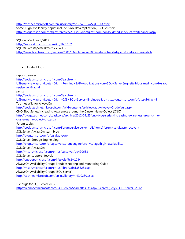[http://technet.microsoft.com/en-us/library/ee355221\(v=SQL.100\).aspx](http://technet.microsoft.com/en-us/library/ee355221(v=SQL.100).aspx) Some 'High Availability' topics include 'SAN data replication', 'GEO cluster'. <http://blogs.msdn.com/b/sqlcat/archive/2013/09/05/sqlcat-com-consolidated-index-of-whitepapers.aspx>

SQL on Windows 8/2012 <http://support.microsoft.com/kb/2681562> SQL 2005/2008/2008R2/2012 checklist <http://www.brentozar.com/archive/2008/03/sql-server-2005-setup-checklist-part-1-before-the-install/>

Useful blogs

saponsqlserver [http://social.msdn.microsoft.com/Search/en-](http://social.msdn.microsoft.com/Search/en-US?query=alwayson&beta=0&rn=Running+SAP+Applications+on+SQL+Server&rq=site:blogs.msdn.com/b/saponsqlserver/&ac=4)[US?query=alwayson&beta=0&rn=Running+SAP+Applications+on+SQL+Server&rq=site:blogs.msdn.com/b/sapo](http://social.msdn.microsoft.com/Search/en-US?query=alwayson&beta=0&rn=Running+SAP+Applications+on+SQL+Server&rq=site:blogs.msdn.com/b/saponsqlserver/&ac=4) [nsqlserver/&ac=4](http://social.msdn.microsoft.com/Search/en-US?query=alwayson&beta=0&rn=Running+SAP+Applications+on+SQL+Server&rq=site:blogs.msdn.com/b/saponsqlserver/&ac=4) psssql [http://social.msdn.microsoft.com/Search/en-](http://social.msdn.microsoft.com/Search/en-US?query=alwayson&beta=0&rn=CSS+SQL+Server+Engineers&rq=site:blogs.msdn.com/b/psssql/&ac=4)[US?query=alwayson&beta=0&rn=CSS+SQL+Server+Engineers&rq=site:blogs.msdn.com/b/psssql/&ac=4](http://social.msdn.microsoft.com/Search/en-US?query=alwayson&beta=0&rn=CSS+SQL+Server+Engineers&rq=site:blogs.msdn.com/b/psssql/&ac=4) Technet Wiki for AlwaysOn <http://social.technet.microsoft.com/wiki/contents/articles/tags/Always+On/default.aspx> CNO Blog Series: Increasing Awareness around the Cluster Name Object (CNO) [http://blogs.technet.com/b/askcore/archive/2012/09/25/cno-blog-series-increasing-awareness-around-the](http://blogs.technet.com/b/askcore/archive/2012/09/25/cno-blog-series-increasing-awareness-around-the-cluster-name-object-cno.aspx)[cluster-name-object-cno.aspx](http://blogs.technet.com/b/askcore/archive/2012/09/25/cno-blog-series-increasing-awareness-around-the-cluster-name-object-cno.aspx) Forum topics <http://social.msdn.microsoft.com/Forums/sqlserver/en-US/home?forum=sqldisasterrecovery> SQL Server AlwaysOn team blog <http://blogs.msdn.com/b/sqlalwayson/> SQL Server Storage Engine blog <http://blogs.msdn.com/b/sqlserverstorageengine/archive/tags/high+availability/> SQL Server AlwaysOn <http://msdn.microsoft.com/en-us/sqlserver/gg490638> SQL Server support lifecycle <http://support.microsoft.com/lifecycle/?c2=1044> AlwaysOn Availability Groups Troubleshooting and Monitoring Guide <http://msdn.microsoft.com/en-us/library/dn135328.aspx> AlwaysOn Availability Groups (SQL Server) <http://technet.microsoft.com/en-us/library/hh510230.aspx> File bugs for SQL Server 2012 <https://connect.microsoft.com/SQLServer/SearchResults.aspx?SearchQuery=SQL+Server+2012>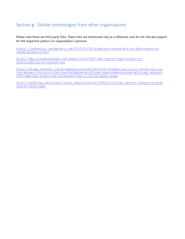## Section g - Similar technologies from other organizations

Please note these are third party links. These links are mentioned only as a reference, and do not indicate support for the respective author's or organization's opinions.

[http://joedantoni.wordpress.com/2012/03/29/alwayson-versus-active-data-guard-a](http://joedantoni.wordpress.com/2012/03/29/alwayson-versus-active-data-guard-a-value-proposition/)[value-proposition/](http://joedantoni.wordpress.com/2012/03/29/alwayson-versus-active-data-guard-a-value-proposition/)

[http://dba.stackexchange.com/questions/20867/sql-server-equivalent-to](http://dba.stackexchange.com/questions/20867/sql-server-equivalent-to-functionality-of-oracle-rac)[functionality-of-oracle-rac](http://dba.stackexchange.com/questions/20867/sql-server-equivalent-to-functionality-of-oracle-rac)

[http://blogs.technet.com/b/sqlman/archive/2012/04/12/what-you-still-think-rac-is](http://blogs.technet.com/b/sqlman/archive/2012/04/12/what-you-still-think-rac-is-the-answer-for-your-high-end-database-platform-requirements-even-with-sql-server-2012-amp-sql-azure-now-released-time-to-think-again.aspx)[the-answer-for-your-high-end-database-platform-requirements-even-with-sql-server-](http://blogs.technet.com/b/sqlman/archive/2012/04/12/what-you-still-think-rac-is-the-answer-for-your-high-end-database-platform-requirements-even-with-sql-server-2012-amp-sql-azure-now-released-time-to-think-again.aspx)[2012-amp-sql-azure-now-released-time-to-think-again.aspx](http://blogs.technet.com/b/sqlman/archive/2012/04/12/what-you-still-think-rac-is-the-answer-for-your-high-end-database-platform-requirements-even-with-sql-server-2012-amp-sql-azure-now-released-time-to-think-again.aspx)

[http://sqlblog.com/blogs/linchi\\_shea/archive/2008/01/22/sql-server-always-on-and](http://sqlblog.com/blogs/linchi_shea/archive/2008/01/22/sql-server-always-on-and-oracle-hard.aspx)[oracle-hard.aspx](http://sqlblog.com/blogs/linchi_shea/archive/2008/01/22/sql-server-always-on-and-oracle-hard.aspx)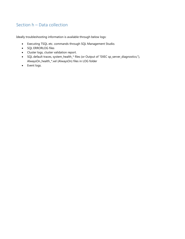## Section h – Data collection

Ideally troubleshooting information is available through below logs:

- Executing TSQL etc. commands through SQL Management Studio.
- SQL ERRORLOG files
- Cluster logs, cluster validation report.
- SQL default traces, system\_health\_\* files (or Output of "EXEC sp\_server\_diagnostics;"), AlwaysOn\_health\_\*.xel (AlwaysOn) files in LOG folder
- Event logs.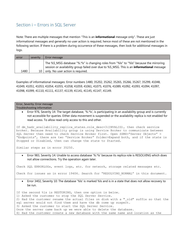## Section i – Errors in SQL Server

Note: There are multiple messages that mention "This is an **informational** message only". These are just informational messages and generally no user action is required, hence most of these are not mentioned in the following section. If there is a problem during occurrence of these messages, then look for additional messages in logs.

| error | severity        | Error message                                                                                                                                                                               |
|-------|-----------------|---------------------------------------------------------------------------------------------------------------------------------------------------------------------------------------------|
|       |                 | The %S_MSG database "%.*Is" is changing roles from "%Is" to "%Is" because the mirroring<br>session or availability group failed over due to %S_MSG. This is an <b>informational</b> message |
| 1480  | 10 <sub>1</sub> | only. No user action is required.                                                                                                                                                           |

Examples of informational messages: Error numbers 1480, 35202, 35262, 35265, 35266, 35267, 35299, 41048, 41049, 41051, 41053, 41054, 41055, 41058, 41059, 41061, 41075, 41076, 41089, 41092, 41093, 41094, 41097, 41098, 41099, 41110, 41111, 41137, 41139, 41141, 41145, 41147, 41149.

#### Error, Severity: Error message Troubleshooting information

 Error 976, Severity 14: The target database, '%.\*ls', is participating in an availability group and is currently not accessible for queries. Either data movement is suspended or the availability replica is not enabled for read access. To allow read-only access to this and other.

If dm hadr availability replica states.role desc=3(INVALID), then check service broker. Because Availability group is using Service Broker to communicate between SQL Server then need to check Service Broker first. Open SSMS>"Server Objects" > "Endpoints", there are two "Service Broker" folder>Expand both, and if the state is Stopped or Disabled, then can change the state to Started.

Similar steps as in error 35250.

 Error 983, Severity 14: Unable to access database '%.\*ls' because its replica role is RESOLVING which does not allow connections. Try the operation again later.

Check SQL ERRORLOGs, event logs, etc. for network, storage related messages etc.

Check for issues as in error 19406. Search for "RESOLVING NORMAL" in this document.

 Error 3402, Severity 10: The database '%ls' is marked %ls and is in a state that does not allow recovery to be run.

If the second %ls is RESTORING, then one option is below. 1) Asked the customer to stop the SQL Server Service. 2) Had the customer rename the actual files on disk with a "old" suffix so that the sql server would not find them and have the db come up suspect. 3) Asked the customer to start the SQL Server Service. Once the server came back up we were able to delete the database. 4) Had the customer create a new database with the same name and location as the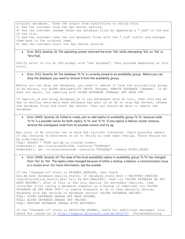original database. Used the output from sysaltfiles to verify this. 5) Had the customer stop the SQL Server Service. 6) Had the customer rename these new database files by appending a " new" on the end of the file. 7) Had the customer take the old database files with the "old" suffix and changed them back to the original name. 8) Had the customer start the SQL Server Service.

 Error 3633, Severity 16: The operating system returned the error '%ls' while attempting '%ls' on '%ls' at '%hs'(%d).

Verify error in %ls at DOS prompt with "net helpmsg". Then proceed depending on this error.

 Error 3752, Severity 16: The database '%.\*ls' is currently joined to an availability group. Before you can drop the database, you need to remove it from the availability group.

Before you can drop the database, you need to remove it from the availability group. If AG exists, try ALTER AVAILABILITY GROUP [AGname] REMOVE DATABASE [DbName]. If AG does not exist, try removing with ALTER DATABASE [DbName] SET HADR OFF.

If replica id and group database id in sys.databases show as null, then this may be due to earlier meta-data when database was part of an AG so stop SQL Server, rename the database files and start SQL Server. Then you should be able to remove the database.

 Error 19405, Severity 16: Failed to create, join or add replica to availability group '%.\*ls', because node '%.\*ls' is a possible owner for both replica '%.\*ls' and '%.\*ls'. If one replica is failover cluster instance, remove the overlapped node from its possible owners and try ag

```
May occur if AG involves two or more SQL failover instances. Check possible owners 
of SQL resource on both/more so as to verify no node name overlap. There should not 
be node-overlap.
TSQL: SELECT * FROM sys.dm os cluster nodes;
Powershell: get-clusterownernode -resource "XXXBSQL"
Powershell: set -clusterownernode -resource "XXXASQL" -owners NODE1, NODE2
```
 Error 19406, Severity 10: The state of the local availability replica in availability group '%.\*ls' has changed from '%ls' to '%ls'. The replica state changed because of either a startup, a failover, a communication issue, or a cluster error. For more information, see the availabi

```
If the "changed to" state is PRIMARY PENDING, then check
sys.dm hadr database replica states. If database state desc = RECOVERY PENDING
(synchronization health desc will be NOT HEALTHY), then try "ALTER DATABASE db SET
HADR RESUME;". Else if this is the only replica (no secondary replica), then
(consider first taking a database snapshot as a backup if required) try "ALTER 
DATABASE db SET HADR OFF;" to remove AlwaysOn so as to then manually recover 
database with SQL service or database restart (ALTER DATABASE ONLINE).
TSQL: ALTER DATABASE DbName SET HADR RESUME;
TSQL: ALTER DATABASE DbName SET ONLINE;
TSQL: RESTORE DATABASE DbName WITH RECOVERY;
```
If the "changed to" state is RESOLVING\_NORMAL, check for additional messages. Also check for issues as in<http://support.microsoft.com/kb/2833707> (Troubleshooting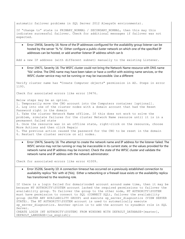automatic failover problems in SQL Server 2012 AlwaysOn environments).

If "change to" state is PRIMARY NORMAL / SECONDARY NORMAL, then this may this indicates successful failover. Check for additional messages if failover was not expected.

 Error 19456, Severity 16: None of the IP addresses configured for the availability group listener can be hosted by the server '%.\*ls'. Either configure a public cluster network on which one of the specified IP addresses can be hosted, or add another listener IP address which can b

Add a new IP address (with different subnet) manually to the existing Listener.

 Error 19471, Severity 16: The WSFC cluster could not bring the Network Name resource with DNS name '%ls' online. The DNS name may have been taken or have a conflict with existing name services, or the WSFC cluster service may not be running or may be inaccessible. Use a different

Verify cluster name has "Create Computer objects" permission in AD. Steps in error 1193.

Check for associated errors like error 19476.

Below steps may be an option.

1. Temporarily move the CNO account into the Computers container [optional]. 2. Log into one of the cluster nodes with a domain account that had the Reset Password right in the domain 3. Take the cluster Network Name offline. If this does not work to solve the problem, simulate failures for the cluster Network Name resource until it is in a permanent failed state 4. Once the resource was in an offline state, right-click on the resource, choose More Actions and then click Repair 5. The previous action caused the password for the CNO to be reset in the domain 6. Restart the cluster service on all nodes.

 Error 19476, Severity 16: The attempt to create the network name and IP address for the listener failed. The WSFC service may not be running or may be inaccessible in its current state, or the values provided for the network name and IP address may be incorrect. Check the state of the WFSC cluster and validate the network name and IP address with the network administrator.

Check for associated errors like error 41009.

 Error 35206, Severity 10: A connection timeout has occurred on a previously established connection to availability replica '%ls' with id [%ls]. Either a networking or a firewall issue exists or the availability replica has transitioned to the resolving role.

If there is a login failed for domain\node\$ account around same time, then it may be because NT AUTHORITY\SYSTEM account lacked the required permissions to failover the availability group. To failover the group to the other node, NT AUTHORITY\SYSTEM must have permission to connect to SQL (CONNECT SQL), failover the availability group (ALTER ANY AVAILABILITY GROUP) and execute sp\_server\_diagnostics (VIEW SERVER STATE). The NT AUTHORITY\SYSTEM account is used to automatically execute sp server diagnostics. Another option is to add the account to sysadmin role in SQL Server. CREATE LOGIN [NT AUTHORITY\SYSTEM] FROM WINDOWS WITH DEFAULT DATABASE=[master], DEFAULT LANGUAGE=[us english];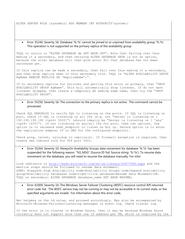ALTER SERVER ROLE [sysadmin] ADD MEMBER [NT AUTHORITY\system];

 Error 35240, Severity 16: Database '%.\*ls' cannot be joined to or unjoined from availability group '%.\*ls'. This operation is not supported on the primary replica of the availability group.

TSQL to unjoin is "ALTER DATABASE db SET HADR OFF". Note that failing over thus making it a secondary, and then retrying ALTER DATABASE HADR is not an option, because the alter database will then give error 921 that database has not been recovered yet.

If this replica can be made a secondary, then fail over thus making it a secondary, and then drop replica when in this secondary role. TSQL is "ALTER AVAILABILITY GROUP AgName REMOVE REPLICA ON 'ReplicaName';".

If no secondary replica for failover and getting this error on primary, then "DROP AVAILABILITY GROUP AgName". This will automatically drop listener. If do not want listener dropped, then create a temporary AG adding same name, then try the "DROP AVAILABILITY GROUP".

 Error 35250, Severity 16: The connection to the primary replica is not active. The command cannot be processed.

Check SQL ERRORLOG to verify SQL is listening on the ports. If SQL is listening on port, check if SQL is listening on all IPs (e.g. not "Server is listening on [ 192.192.192.192 <ipv4> 5022]") (should ideally be "Server is listening on [ 'any'  $\langle$ ipv4> 1433]"). If not listening on any/all IPs for port, then two options. One option is to recreate hadr endpoint to listen on ALL ip. Second option is to enter the replication adapter IP in DNS for the configured endpoint).

Check ping, telnet, nslookup to replica(s). If firewall exception is required, then create new inbound rule for TCP port 5022.

 Error 35264, Severity 10: AlwaysOn Availability Groups data movement for database '%.\*ls' has been suspended for the following reason: "%S\_MSG" (Source ID %d; Source string: '%.\*ls'). To resume data movement on the database, you will need to resume the database manually. For infor

Link redirects to<http://msdn.microsoft.com/en-us/library/ff877956.aspx> and the mention steps should be followed to resume data movement. SSMS: AlwaysOn High Availability node>Availability Groups node>expand availability group>Availability Databases node>right-click database>Resume Data Movement>OK. TSQL on secondary: ALTER DATABASE database name SET HADR RESUME;

 Error 41009, Severity 16: The Windows Server Failover Clustering (WSFC) resource control API returned error code %d. The WSFC service may not be running or may not be accessible in its current state, or the specified arguments are invalid. For information about this error code,

Net helpmsg on the %d value, and proceed accordingly. May also be accompanied by Microsoft-Windows-FailoverClustering messages in event log. Check cluster log.

If the error is in cluster in Windows Azure, then it may be because Windows Azure currently does not support more than one IP address per VM, which is required by the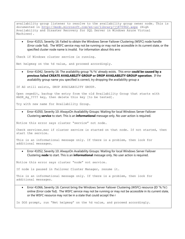availability group listener to resolve to the availability group owner node. This is documented in<http://msdn.microsoft.com/en-us/library/jj870962.aspx> (High Availability and Disaster Recovery for SQL Server in Windows Azure Virtual Machines).

 Error 41015, Severity 16: Failed to obtain the Windows Server Failover Clustering (WSFC) node handle (Error code %d). The WSFC service may not be running or may not be accessible in its current state, or the specified cluster node name is invalid. For information about this erro

Check if Windows cluster service is running.

Net helpmsg on the %d value, and proceed accordingly.

 Error 41042, Severity 16: The availability group '%.\*ls' already exists. This error **could be caused by a previous failed CREATE AVAILABILITY GROUP or DROP AVAILABILITY GROUP operation**. If the availability group name you specified is correct, try dropping the availability group a

If AG still exists, DROP AVAILABILITY GROUP.

Open regedit, backup the entry from the old Availability Group that starts with HADR Ag ???? key, then delete this key [to be tested].

Try with new name for Availability Group.

 Error 41050, Severity 10: AlwaysOn Availability Groups: Waiting for local Windows Server Failover Clustering **service** to start. This is an **informational** message only. No user action is required.

Notice this error says cluster "service" not node.

Check services.msc if cluster service is started on that node. If not started, then start the service.

This is an informational message only. If there is a problem, then look for additional messages.

 Error 41052, Severity 10: AlwaysOn Availability Groups: Waiting for local Windows Server Failover Clustering **node** to start. This is an **informational** message only. No user action is required.

Notice this error says cluster "node" not service.

If node is paused in Failover Cluster Manager, resume it.

This is an informational message only. If there is a problem, then look for additional messages.

 Error 41066, Severity 16: Cannot bring the Windows Server Failover Clustering (WSFC) resource (ID '%.\*ls') online (Error code %d). The WSFC service may not be running or may not be accessible in its current state, or the WSFC resource may not be in a state that could accept the r

In DOS prompt, run "Net helpmsg" on the %d value, and proceed accordingly.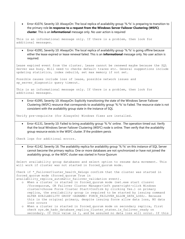Error 41074, Severity 10: AlwaysOn: The local replica of availability group '%.\*ls' is preparing to transition to the primary role **in response to a request from the Windows Server Failover Clustering (WSFC) cluster**. This is an **informational** message only. No user action is required

This is an informational message only. If there is a problem, then look for additional messages.

 Error 41091, Severity 10: AlwaysOn: The local replica of availability group '%.\*ls' is going offline because either the lease expired or lease renewal failed. This is an **informational** message only. No user action is required.

Lease expired event from the cluster. Lease cannot be renewed maybe because the SQL Server was busy. Will need to checks default traces etc. General suggestions include updating statistics, index rebuild, set max memory if not set.

Possible causes include loss of lease, possible network issues and sp server diagnostic query timeout.

This is an informational message only. If there is a problem, then look for additional messages.

 Error 41095, Severity 10: AlwaysOn: Explicitly transitioning the state of the Windows Server Failover Clustering (WSFC) resource that corresponds to availability group '%.\*ls' to Failed. The resource state is not consistent with the availability group state in the instance of SQL

Verify pre-requisite (for AlwaysOn) Windows fixes are installed.

 Error 41131, Severity 10: Failed to bring availability group '%.\*ls' online. The operation timed out. Verify that the local Windows Server Failover Clustering (WSFC) node is online. Then verify that the availability group resource exists in the WSFC cluster. If the problem persis

Check logs for additional errors.

 Error 41142, Severity 16: The availability replica for availability group '%.\*ls' on this instance of SQL Server cannot become the primary replica. One or more databases are not synchronized or have not joined the availability group, or the WSFC cluster was started in Force Quorum

Select availability group databases and select option to resume data movement. This will work if cluster was not started in forced quorum mode.

Check if  $*$  FailoverCluster health XeLogs confirm that the cluster was started in forced\_quorum mode (forced\_quorum True in

availability replica automatic failover validation event).

- o When a cluster is started in forced\_quorum mode (net.exe start clussvc /forcequorum, OR Failover Cluster Manager>left pane>right-click Windows cluster>choose Force Cluster Start>Confirm by clicking Yes.) on primary replica, the availability group is required to be started by issuing command ALTER AVAILABILITY GROUP <AGNAME> FORCE FAILOVER ALLOW DATA LOSS;. Because this is the original primary, despite issuing force allow data loss, NO data loss occurs
- o When a cluster is started in forced\_quorum mode on secondary replica, first check sys.dm hadr database replica cluster states.is failover ready on secondary. If this value is 1, and be assured no data loss will occur. If this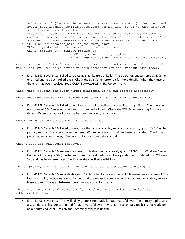value is not 1 (for example because it's asynchronous commit), then can check sys.dm hadr database replica states.last commit time, so as to know estimate start time of data loss. The sys.dm hadr database replica states.last hardened lsn value may be used to consider other secondaries for failover. Then can initiate failover with ALTER AVAILABILITY GROUP <AGNAME> FORCE FAILOVER ALLOW DATA LOSS; on secondary. o TSQL: SELECT database name, is failover ready FROM sys.dm hadr database replica cluster states WHERE replica  $id = (SELECT \nreplica_id$ FROM sys.availability replicas WHERE replica server name = '<Replica server name>') Otherwise, once all local secondary databases are joined /synchronized, a planned manual failover can be performed to this secondary replica (without data loss). Error 41152, Severity 16: Failed to create availability group '%.\*ls'. The operation encountered SQL Server error %d and has been rolled back. Check the SQL Server error log for more details. When the cause of the error has been resolved, retry CREATE AVAILABILITY GROUP command Check this document for error number mentioned in %d and proceed accordingly. Check sys.messages for error number mentioned in %d and proceed accordingly Error 41158, Severity 16: Failed to join local availability replica to availability group '%.\*ls'. The operation encountered SQL Server error %d and has been rolled back. Check the SQL Server error log for more details. When the cause of the error has been resolved, retry the A Check for SQL/Windows messages around same time. Error 41160, Severity 16: Failed to designate the local availability replica of availability group '%.\*ls' as the primary replica. The operation encountered SQL Server error %d and has been terminated. Check the preceding error and the SQL Server error log for more details about Checks logs for additional messages. Error 41172, Severity 16: An error occurred while dropping availability group '%.\*ls' from Windows Server Failover Clustering (WSFC) cluster and from the local metadata. The operation encountered SQL OS error %d, and has been terminated. Verify that the specified availability gr In DOS prompt, run "Net helpmsg" on the %d value, and proceed accordingly. Error 41195, Severity 16: Availability group '%.\*ls' failed to process the WSFC lease-renewal command. The local availability replica lease is no longer valid to process the lease renewal command. Availability replica lease expired. This is an **informational** message only. No user a This is an informational message only. If there is a problem, then look for additional messages.

 Error 41406, Severity 16: The availability group is not ready for automatic failover. The primary replica and a secondary replica are configured for automatic failover, however, the secondary replica is not ready for an automatic failover. Possibly the secondary replica is unavail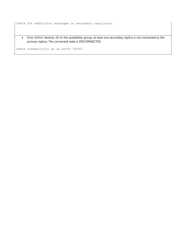Check for additional messages on secondary replica(s).

 Error 41414, Severity 16: In this availability group, at least one secondary replica is not connected to the primary replica. The connected state is DISCONNECTED.

Check connectivity as in error 35250.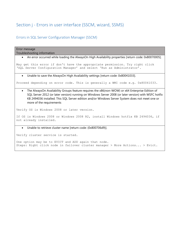## Section j - Errors in user interface (SSCM, wizard, SSMS)

#### Errors in SQL Server Configuration Manager (SSCM)

Error message Troubleshooting information An error occurred while loading the AlwaysOn High Availability properties [return code: 0x80070005]. May get this error if don't have the appropriate permission. Try right click 'SQL Server Configuration Manager' and select 'Run as Administrator'. Unable to save the AlwaysOn High Availability settings [return code: 0x80041033]. Proceed depending on error code. This is generally a WMI code e.g. 0x80041033. The AlwaysOn Availability Groups feature requires the x86(non-WOW) or x64 Enterprise Edition of SQL Server 2012 (or later version) running on Windows Server 2008 (or later version) with WSFC hotfix KB 2494036 installed. This SQL Server edition and/or Windows Server System does not meet one or more of the requirements Verify OS is Windows 2008 or later version. If OS is Windows 2008 or Windows 2008 R2, install Windows hotfix KB 2494036, if not already installed. Unable to retrieve cluster name [return code: (0x800706d9)]. Verify cluster service is started.

One option may be to EVICT and ADD again that node. Steps: Right click node in failover cluster manager > More Actions... > Evict.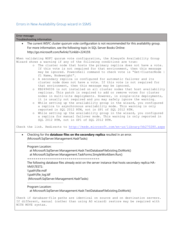## Errors in New Availability Group wizard in SSMS

| Error message<br>Troubleshooting information                                                                                                                                                                                                                                                                                                                                                                                                                                                                                                                                                                                                                                                                                                                                                                                                                                                                                                                                                                                                                                                                                                                                                                                                                                                                                                                            |  |  |  |
|-------------------------------------------------------------------------------------------------------------------------------------------------------------------------------------------------------------------------------------------------------------------------------------------------------------------------------------------------------------------------------------------------------------------------------------------------------------------------------------------------------------------------------------------------------------------------------------------------------------------------------------------------------------------------------------------------------------------------------------------------------------------------------------------------------------------------------------------------------------------------------------------------------------------------------------------------------------------------------------------------------------------------------------------------------------------------------------------------------------------------------------------------------------------------------------------------------------------------------------------------------------------------------------------------------------------------------------------------------------------------|--|--|--|
| The current WSFC cluster quorum vote configuration is not recommended for this availability group.                                                                                                                                                                                                                                                                                                                                                                                                                                                                                                                                                                                                                                                                                                                                                                                                                                                                                                                                                                                                                                                                                                                                                                                                                                                                      |  |  |  |
| $\bullet$                                                                                                                                                                                                                                                                                                                                                                                                                                                                                                                                                                                                                                                                                                                                                                                                                                                                                                                                                                                                                                                                                                                                                                                                                                                                                                                                                               |  |  |  |
| For more information, see the following topic in SQL Server Books Online:                                                                                                                                                                                                                                                                                                                                                                                                                                                                                                                                                                                                                                                                                                                                                                                                                                                                                                                                                                                                                                                                                                                                                                                                                                                                                               |  |  |  |
| http://go.microsoft.com/fwlink/?LinkId=224159.                                                                                                                                                                                                                                                                                                                                                                                                                                                                                                                                                                                                                                                                                                                                                                                                                                                                                                                                                                                                                                                                                                                                                                                                                                                                                                                          |  |  |  |
| When validating WSFC quorum vote configuration, the AlwaysOn Availability Group<br>Wizard shows a warning if any of the following conditions are true:<br>The cluster node that hosts the primary replica does not have a vote.<br>$\circ$<br>If this vote is not required for that environment, then this message<br>may be ignored. Powershell command to check vote is "Get-ClusterNode  <br>f1 Name, Nodeweight".<br>A secondary replica is configured for automatic failover and its<br>$\circ$<br>cluster node does not have a vote. If this vote is not required for<br>that environment, then this message may be ignored.<br>KB2494036 is not installed on all cluster nodes that host availability<br>$\circ$<br>replicas. This patch is required to add or remove votes for cluster<br>nodes in multi-site deployments. However, in single-site deployments,<br>it is usually not required and you may safely ignore the warning.<br>While setting up the availability group in the wizard, you configured<br>$\circ$<br>a replica to asynchronous availability mode. This warning is only<br>reported in SQL 2012 RTM, not in SP1 of SQL 2012 RTM.<br>While setting up the availability group in the wizard, you configured<br>$\circ$<br>a replica for manual failover mode. This warning is only reported in<br>SQL 2012 RTM, not in SP1 of SQL 2012 RTM. |  |  |  |
| Check the link. Redirects to http://msdn.microsoft.com/en-us/library/hh270280.aspx                                                                                                                                                                                                                                                                                                                                                                                                                                                                                                                                                                                                                                                                                                                                                                                                                                                                                                                                                                                                                                                                                                                                                                                                                                                                                      |  |  |  |
| Checking for the database files on the secondary replica resulted in an error.                                                                                                                                                                                                                                                                                                                                                                                                                                                                                                                                                                                                                                                                                                                                                                                                                                                                                                                                                                                                                                                                                                                                                                                                                                                                                          |  |  |  |
| (Microsoft.SqlServer.Management.HadrTasks)                                                                                                                                                                                                                                                                                                                                                                                                                                                                                                                                                                                                                                                                                                                                                                                                                                                                                                                                                                                                                                                                                                                                                                                                                                                                                                                              |  |  |  |
|                                                                                                                                                                                                                                                                                                                                                                                                                                                                                                                                                                                                                                                                                                                                                                                                                                                                                                                                                                                                                                                                                                                                                                                                                                                                                                                                                                         |  |  |  |
| Program Location:                                                                                                                                                                                                                                                                                                                                                                                                                                                                                                                                                                                                                                                                                                                                                                                                                                                                                                                                                                                                                                                                                                                                                                                                                                                                                                                                                       |  |  |  |
| at Microsoft.SqlServer.Management.Hadr.TestDatabaseFileExisting.DoWork()                                                                                                                                                                                                                                                                                                                                                                                                                                                                                                                                                                                                                                                                                                                                                                                                                                                                                                                                                                                                                                                                                                                                                                                                                                                                                                |  |  |  |
| at Microsoft.SqlServer.Management.TaskForms.SimpleWorkItem.Run()                                                                                                                                                                                                                                                                                                                                                                                                                                                                                                                                                                                                                                                                                                                                                                                                                                                                                                                                                                                                                                                                                                                                                                                                                                                                                                        |  |  |  |
| =====================================                                                                                                                                                                                                                                                                                                                                                                                                                                                                                                                                                                                                                                                                                                                                                                                                                                                                                                                                                                                                                                                                                                                                                                                                                                                                                                                                   |  |  |  |
| The following database files already exist on the server instance that hosts secondary replica HA-<br>VM3\TEST1:<br>\\path\file.mdf                                                                                                                                                                                                                                                                                                                                                                                                                                                                                                                                                                                                                                                                                                                                                                                                                                                                                                                                                                                                                                                                                                                                                                                                                                     |  |  |  |
| \\path\file_log.ldf                                                                                                                                                                                                                                                                                                                                                                                                                                                                                                                                                                                                                                                                                                                                                                                                                                                                                                                                                                                                                                                                                                                                                                                                                                                                                                                                                     |  |  |  |
| (Microsoft.SqlServer.Management.HadrTasks)                                                                                                                                                                                                                                                                                                                                                                                                                                                                                                                                                                                                                                                                                                                                                                                                                                                                                                                                                                                                                                                                                                                                                                                                                                                                                                                              |  |  |  |
| Program Location:                                                                                                                                                                                                                                                                                                                                                                                                                                                                                                                                                                                                                                                                                                                                                                                                                                                                                                                                                                                                                                                                                                                                                                                                                                                                                                                                                       |  |  |  |
| at Microsoft.SqlServer.Management.Hadr.TestDatabaseFileExisting.DoWork()                                                                                                                                                                                                                                                                                                                                                                                                                                                                                                                                                                                                                                                                                                                                                                                                                                                                                                                                                                                                                                                                                                                                                                                                                                                                                                |  |  |  |
| Check if database-file paths are identical on source and on destination servers.<br>If different, manual (rather than using AG wizard) restore may be required with                                                                                                                                                                                                                                                                                                                                                                                                                                                                                                                                                                                                                                                                                                                                                                                                                                                                                                                                                                                                                                                                                                                                                                                                     |  |  |  |

ir different, manual (rathe<br>WITH MOVE syntax.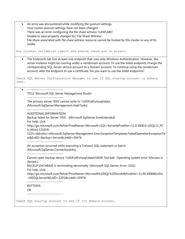| $\bullet$ | An error was encountered while modifying the quorum settings.                                                                                                                                                                                                                                            |
|-----------|----------------------------------------------------------------------------------------------------------------------------------------------------------------------------------------------------------------------------------------------------------------------------------------------------------|
|           | Your cluster quorum settings have not been changed.                                                                                                                                                                                                                                                      |
|           | There was an error configuring the file share witness '\\XXX\ABC'.                                                                                                                                                                                                                                       |
|           | Unable to save property changes for 'File Share Witness'.                                                                                                                                                                                                                                                |
|           | File share associated with file share witness resource cannot be hosted by this cluster or any of its                                                                                                                                                                                                    |
|           | nodes                                                                                                                                                                                                                                                                                                    |
|           |                                                                                                                                                                                                                                                                                                          |
|           | Run cluster validation report and ensure there are no errors.                                                                                                                                                                                                                                            |
| $\bullet$ | The Endpoints tab lists at least one endpoint that uses only Windows Authentication. However, the<br>server instance might be running under a nondomain account. To use the listed endpoint, change the<br>corresponding SQL Server service account to a domain account. To continue using the nondomain |
|           | account, alter the endpoint to use a certificate. Do you want to use the listed endpoints?                                                                                                                                                                                                               |
| user.     | Check SQL Server Configuration Manager to see if SQL startup account is domain                                                                                                                                                                                                                           |
| $\bullet$ |                                                                                                                                                                                                                                                                                                          |
|           | TITLE: Microsoft SQL Server Management Studio                                                                                                                                                                                                                                                            |
|           |                                                                                                                                                                                                                                                                                                          |
|           | The primary server 'XXX' cannot write to '\\XXX\e\$\mssql\data'.<br>(Microsoft.SqlServer.Management.HadrTasks)                                                                                                                                                                                           |
|           | -------------------------<br>ADDITIONAL INFORMATION:                                                                                                                                                                                                                                                     |
|           | Backup failed for Server 'XXX'. (Microsoft.SqlServer.SmoExtended)                                                                                                                                                                                                                                        |
|           | For help, click:                                                                                                                                                                                                                                                                                         |
|           | http://go.microsoft.com/fwlink?ProdName=Microsoft+SQL+Server&ProdVer=11.0.3000.0+((SQL11_PC                                                                                                                                                                                                              |
|           | U_Main).121019-                                                                                                                                                                                                                                                                                          |
|           | 1325+)&EvtSrc=Microsoft.SqlServer.Management.Smo.ExceptionTemplates.FailedOperationExceptionTe                                                                                                                                                                                                           |
|           | xt&EvtID=Backup+Server&LinkId=20476                                                                                                                                                                                                                                                                      |
|           | --------------------------                                                                                                                                                                                                                                                                               |
|           | An exception occurred while executing a Transact-SQL statement or batch.<br>(Microsoft.SqlServer.ConnectionInfo)                                                                                                                                                                                         |
|           | Cannot open backup device '\\XXX\e\$\mssql\data\HADR Test.bak'. Operating system error 5(Access is<br>denied.).                                                                                                                                                                                          |
|           | BACKUP DATABASE is terminating abnormally. (Microsoft SQL Server, Error: 3201)                                                                                                                                                                                                                           |
|           | For help, click:                                                                                                                                                                                                                                                                                         |
|           | http://go.microsoft.com/fwlink?ProdName=Microsoft%20SQL%20Server&ProdVer=11.00.3000&EvtSrc                                                                                                                                                                                                               |
|           | =MSSQLServer&EvtID=3201&LinkId=20476                                                                                                                                                                                                                                                                     |
|           | --------------------------<br><b>BUTTONS:</b>                                                                                                                                                                                                                                                            |
|           | OK                                                                                                                                                                                                                                                                                                       |
|           | ----------------------------                                                                                                                                                                                                                                                                             |
|           |                                                                                                                                                                                                                                                                                                          |
|           | Check SQL startup account to see if its domain account.                                                                                                                                                                                                                                                  |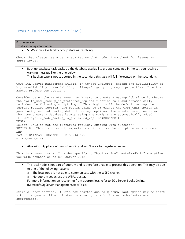#### Errors in SQL Management Studio (SSMS)

```
Error message
Troubleshooting information
       SSMS shows Availability Group state as Resolving.
Check that cluster service is started on that node. Also check for issues as in 
error 19406.
    Back up database task backs up the database availability groups contained in the set, you receive a 
      warning message like the one below.
      This backup type is not supported in the secondary this task will fail if executed on the secondary.
GoTo SQL Server Management Studio, in Object Explorer, expand the availability of 
high-availability – availability – AlwaysOn group – group – properties. Note the 
Backup preferences section.
Consider using the maintenance plan Wizard to create a backup job since it checks 
the sys.fn hadr backup is preferred replica function call and automatically
includes the following script logic. This logic is if the default backup the 
current replica replica (the return value to 1) grants the COPY_ONLY option in 
your backup and not backup default backup replicas. The maintenance plan Wizard 
when you create a database backup using the scripts are automatically added.
IF (NOT sys.fn hadr backup is preferred replica(@DBNAME))
BEGIN
Select 'This is not the preferred replica, exiting with success';
RETURN 0 – This is a normal, expected condition, so the script returns success
END
BACKUP DATABASE @DBNAME TO DISK=<disk>
WITH COPY ONLY;
       AlwaysOn. 'ApplcationIntent=ReadOnly' doesn't work for registered server.
This is a known issue. Consider specifying "ApplicationIntent=ReadOnly" everytime 
you make connection to SQL server 2012.
```
- The local node is not part of quorum and is therefore unable to process this operation. This may be due to one of the following reasons:
	- o The local node is not able to communicate with the WSFC cluster.
	- o No quorum set across the WSFC cluster.

For more information on recovering from quorum loss, refer to SQL Server Books Online. (Microsoft.SqlServer.Management.HadrTasks)

Start cluster service. If it's not started due to quorum, last option may be start without a quorum. After cluster is running, check cluster nodes/votes are appropriate.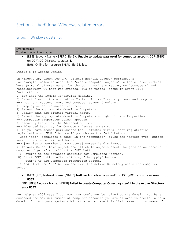## Section k - Additional Windows related errors

### Errors in Windows cluster log

| Error message<br>Troubleshooting information                                                                                                                                                                                                                                                                                                                                      |
|-----------------------------------------------------------------------------------------------------------------------------------------------------------------------------------------------------------------------------------------------------------------------------------------------------------------------------------------------------------------------------------|
| [RES] Network Name <spepd_tier2>: Unable to update password for computer account DCR-SPEPD<br/>on DC \\ DC-04.xxxx.org, status 5.<br/>[RHS] Online for resource SPEPD_Tier2 failed.</spepd_tier2>                                                                                                                                                                                 |
| Status 5 is Access Denied                                                                                                                                                                                                                                                                                                                                                         |
| In Windows AD, check for CNO (cluster network object) permissions.<br>For example, below to grant the "create computer objects" to the cluster virtual<br>host (virtual cluster name) for the OU in Active Directory on "Computers" and<br>"DomainServer" OU that was created. [To be tested, steps in event 1193]<br>Instructions:<br>1) Log into the Domain Controller machine. |
| 2) Select Start - Administrative Tools - Active Directory users and computer.<br>--> Active Directory users and computer screen displays.<br>3) Display-select advanced features.                                                                                                                                                                                                 |
| 4) Select the appropriate domain - Computers.<br>5) Verify that the cluster virtual hosts.<br>6) Select the appropriate domain - Computers - right click - Properties.                                                                                                                                                                                                            |
| --> Computers Properties screen appears.<br>7) Security tab-click the Advanced button.<br>--> Advanced Security for Computers "screen appears.                                                                                                                                                                                                                                    |
| 8) If you have access permissions tab - cluster virtual host registration<br>registration no "Edit" button if you choose the "add" button.                                                                                                                                                                                                                                        |
| + Case "add": conducted a check in the "computer", click the "object type" button,<br>search for cluster virtual hosts.<br>--> [Permission entries on Computers] screen is displayed.                                                                                                                                                                                             |
| 9) Target: Select this object and all child objects check the permission "create<br>computer objects" and click the "OK" button.<br>--> Returns to the advanced security for Computers "screen.                                                                                                                                                                                   |
| 10) Click "OK" button after clicking "the apply" button.<br>--> Returns to the Computers Properties screen.                                                                                                                                                                                                                                                                       |
| 11) And click the "OK" button and exit the Active Directory users and computer<br>screen.                                                                                                                                                                                                                                                                                         |

• INFO [RES] Network Name: [NNLIB] **NetUserAdd** object aglisten11 on DC: \\DC.contoso.com, result: **8557**

ERR [RES] Network Name: [NNLIB] **Failed to create Computer Object** aglisten11 **in the Active Directory**, error **8557**

net helpmsg 8557 says "Your computer could not be joined to the domain. You have exceeded the maximum number of computer accounts you are allowed to create in this domain. Contact your system administrator to have this limit reset or increased."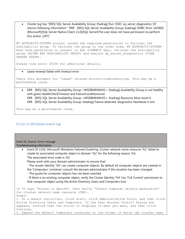Cluster log has "[RES] SQL Server Availability Group: [hadrag] Run 'EXEC sp\_server\_diagnostics 10' returns following information" "ERR [RES] SQL Server Availability Group: [hadrag] ODBC Error: [42000] [Microsoft][SQL Server Native Client 11.0][SQL Server]The user does not have permission to perform this action. (297)"

NT AUTHORITY\SYSTEM account lacked the required permissions to failover the availability group. To failover the group to the other node, NT AUTHORITY\SYSTEM must have permission to connect to SQL (CONNECT SQL), failover the availability group (ALTER ANY AVAILABILITY GROUP) and execute sp\_server\_diagnostics (VIEW SERVER STATE).

Please view error 35206 for additional details.

Lease renewal failed with timeout error

Check this document for "lease" related errors/troubleshooting. This may be a performance issue.

 ERR [RES] SQL Server Availability Group <WSDBMEMAVG>: [hadrag] Availability Group is not healthy with given HealthCheckTimeout and FailureConditionLevel ERR [RES] SQL Server Availability Group <WSDBMEMAVG>: [hadrag] Resource Alive result 0. ERR [RES] SQL Server Availability Group: [hadrag] Failure detected, diagnostics heartbeat is lost

This may be a performance issue.

#### Errors in Windows event log

| Event ID, Source: Error message                                                                                |
|----------------------------------------------------------------------------------------------------------------|
| Troubleshooting information                                                                                    |
| Event ID 1193, Microsoft-Windows-FailoverClustering: Cluster network name resource '%1' failed to<br>$\bullet$ |
| create its associated computer object in domain '%2' for the following reason: %3.                             |
| The associated error code is: %5                                                                               |
| Please work with your domain administrator to ensure that:                                                     |
| - The cluster identity '%4' can create computer objects. By default all computer objects are created in        |
| the 'Computers' container; consult the domain administrator if this location has been changed.                 |
| - The quota for computer objects has not been reached.                                                         |
| - If there is an existing computer object, verify the Cluster Identity '%4' has 'Full Control' permission to   |
| that computer object using the Active Directory Users and Computers tool.                                      |
|                                                                                                                |
| If %5 says "Access is denied", then verify "Create Computer objects permission"                                |
| for cluster network name resource (CNO).                                                                       |
| Steps:<br>1. On a domain controller, click Start, click Administrative Tools, and then click                   |
| Active Directory Users and Computers. If the User Account Control dialog box                                   |
| appears, confirm that the action it displays is what you want, and then click                                  |
| Continue.                                                                                                      |
| 2. Expand the default Computers container or the folder in which the cluster name                              |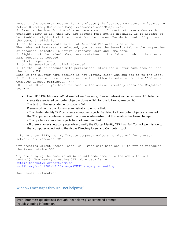account (the computer account for the cluster) is located. Computers is located in Active Directory Users and Computers/domain node/Computers. 3. Examine the icon for the cluster name account. It must not have a downwardpointing arrow on it, that is, the account must not be disabled. If it appears to be disabled, right-click it and look for the command Enable Account. If you see the command, click it. 4. On the View menu, make sure that Advanced Features is selected. When Advanced Features is selected, you can see the Security tab in the properties of accounts (objects) in Active Directory Users and Computers. 5. Right-click the default Computers container or the folder in which the cluster name account is located. 6. Click Properties. 7. On the Security tab, click Advanced. 8. In the list of accounts with permissions, click the cluster name account, and then click Edit. Note If the cluster name account is not listed, click Add and add it to the list. 9. For the cluster name account, ensure that Allow is selected for the """Create Computer objects permission. """ 10. Click OK until you have returned to the Active Directory Users and Computers snap-in.

 Event ID 1194, Microsoft-Windows-FailoverClustering: Cluster network name resource '%1' failed to create its associated computer object in domain '%2' for the following reason: %3. The text for the associated error code is: %4

Please work with your domain administrator to ensure that:

- The cluster identity '%5' can create computer objects. By default all computer objects are created in the 'Computers' container; consult the domain administrator if this location has been changed.

- The quota for computer objects has not been reached.

- If there is an existing computer object, verify the Cluster Identity '%5' has 'Full Control' permission to that computer object using the Active Directory Users and Computers tool.

Like in event 1193, verify "Create Computer objects permission" for cluster network name resource (CNO).

Try creating Client Access Point (CAP) with same name and IP to try to reproduce the issue outside SQL.

Try pre-staging the name in AD (also add node name \$ to the ACL with full control). Now re-try creating CAP. More details in [http://technet.microsoft.com/en](http://technet.microsoft.com/en-us/library/cc731002(WS.10).aspx#BKMK_steps_precreating)us/library/cc731002(WS.10).aspx#BKMK steps precreating .

Run Cluster validation.

#### Windows messages through "net helpmsg"

Error (Error message obtained through "net helpmsg" at command prompt) Troubleshooting information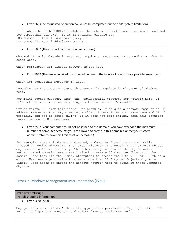Error 665 (The requested operation could not be completed due to a file system limitation)

If database has FILESTREAM/FileTable, then check if 8dot3 name creation is enabled for applicable drive(s). If it is enabled, disable it. DOS command1: fsutil 8dot3name query C: DOS command2: fsutil 8dot3name set C: 1

#### Error 5057 (The cluster IP address is already in use.)

Checked if IP is already in use. May require a new/unused IP depending on what is being done.

Check permission for cluster network object CNO.

Error 5942 (The resource failed to come online due to the failure of one or more provider resources.)

Check for additional messages in logs.

Depending on the resource type, this generally requires involvement of Windows team.

For multi-subnet cluster, check the HostRecordTTL property for network name. If it's set to 1200 (20 minutes), suggested value is 300 (5 minutes).

Try to remove SQL from this issue. For example, if this is a network name or an IP address resource, then try creating a Client Access Point with same name and IP if possible, and see it comes online. If it does not come online, then this requires investigation by Windows team.

 Error 8557 (Your computer could not be joined to the domain. You have exceeded the maximum number of computer accounts you are allowed to create in this domain. Contact your system administrator to have this limit reset or increased.)

For example, when a listener is created, a Computer Object is automatically created in Active Directory. Even after Listener is dropped, that Computer Object may remain in Active Directory. The other thing to know is that by default, authenticated (domain) users are limited to create 10 Computer Objects in the domain. Once they hit the limit, attempting to create the 11th will fail with this error. User needs permission to create more than 10 Computer Objects or, more likely, user needs to engage the Windows network team to clean up these Computer Objects.

#### Errors in Windows Management Instrumentation (WMI)

Error: Error message Troubleshooting information

Error 0x80070005

May get this error if don't have the appropriate permission. Try right click 'SQL Server Configuration Manager' and select 'Run as Administrator'.